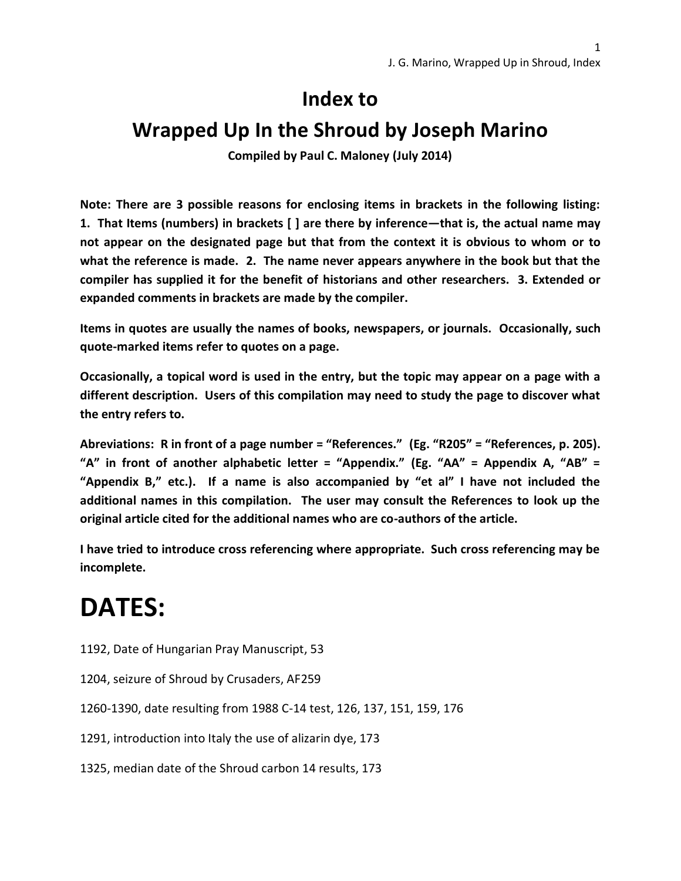#### **Index to**

#### **Wrapped Up In the Shroud by Joseph Marino**

**Compiled by Paul C. Maloney (July 2014)**

**Note: There are 3 possible reasons for enclosing items in brackets in the following listing: 1. That Items (numbers) in brackets [ ] are there by inference—that is, the actual name may not appear on the designated page but that from the context it is obvious to whom or to what the reference is made. 2. The name never appears anywhere in the book but that the compiler has supplied it for the benefit of historians and other researchers. 3. Extended or expanded comments in brackets are made by the compiler.** 

**Items in quotes are usually the names of books, newspapers, or journals. Occasionally, such quote-marked items refer to quotes on a page.**

**Occasionally, a topical word is used in the entry, but the topic may appear on a page with a different description. Users of this compilation may need to study the page to discover what the entry refers to.** 

**Abreviations: R in front of a page number = "References." (Eg. "R205" = "References, p. 205). "A" in front of another alphabetic letter = "Appendix." (Eg. "AA" = Appendix A, "AB" = "Appendix B," etc.). If a name is also accompanied by "et al" I have not included the additional names in this compilation. The user may consult the References to look up the original article cited for the additional names who are co-authors of the article.**

**I have tried to introduce cross referencing where appropriate. Such cross referencing may be incomplete.**

# **DATES:**

- 1192, Date of Hungarian Pray Manuscript, 53
- 1204, seizure of Shroud by Crusaders, AF259
- 1260-1390, date resulting from 1988 C-14 test, 126, 137, 151, 159, 176
- 1291, introduction into Italy the use of alizarin dye, 173
- 1325, median date of the Shroud carbon 14 results, 173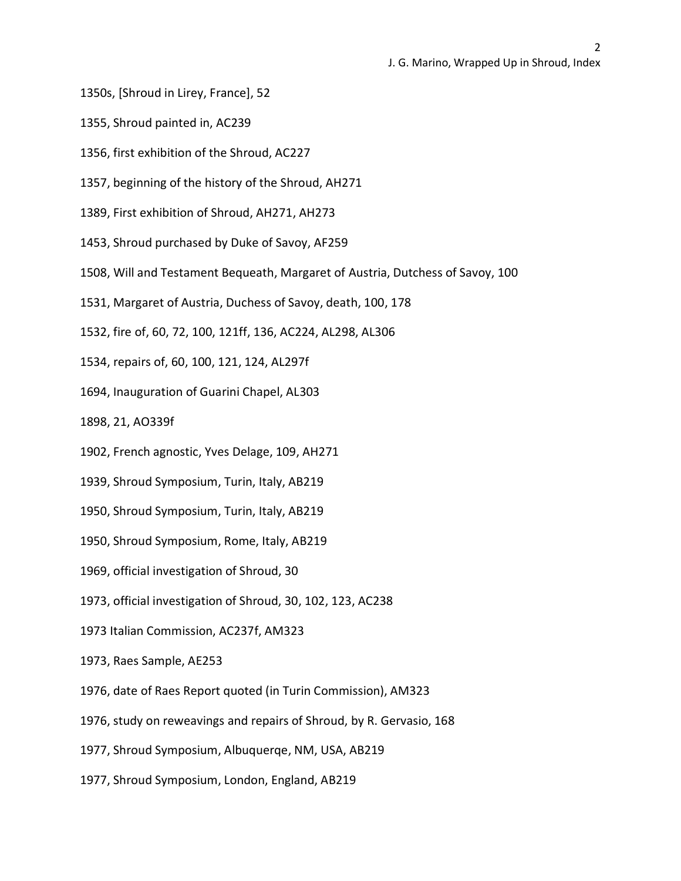- 1350s, [Shroud in Lirey, France], 52
- 1355, Shroud painted in, AC239
- 1356, first exhibition of the Shroud, AC227
- 1357, beginning of the history of the Shroud, AH271
- 1389, First exhibition of Shroud, AH271, AH273
- 1453, Shroud purchased by Duke of Savoy, AF259
- 1508, Will and Testament Bequeath, Margaret of Austria, Dutchess of Savoy, 100
- 1531, Margaret of Austria, Duchess of Savoy, death, 100, 178
- 1532, fire of, 60, 72, 100, 121ff, 136, AC224, AL298, AL306
- 1534, repairs of, 60, 100, 121, 124, AL297f
- 1694, Inauguration of Guarini Chapel, AL303
- 1898, 21, AO339f
- 1902, French agnostic, Yves Delage, 109, AH271
- 1939, Shroud Symposium, Turin, Italy, AB219
- 1950, Shroud Symposium, Turin, Italy, AB219
- 1950, Shroud Symposium, Rome, Italy, AB219
- 1969, official investigation of Shroud, 30
- 1973, official investigation of Shroud, 30, 102, 123, AC238
- 1973 Italian Commission, AC237f, AM323
- 1973, Raes Sample, AE253
- 1976, date of Raes Report quoted (in Turin Commission), AM323
- 1976, study on reweavings and repairs of Shroud, by R. Gervasio, 168
- 1977, Shroud Symposium, Albuquerqe, NM, USA, AB219
- 1977, Shroud Symposium, London, England, AB219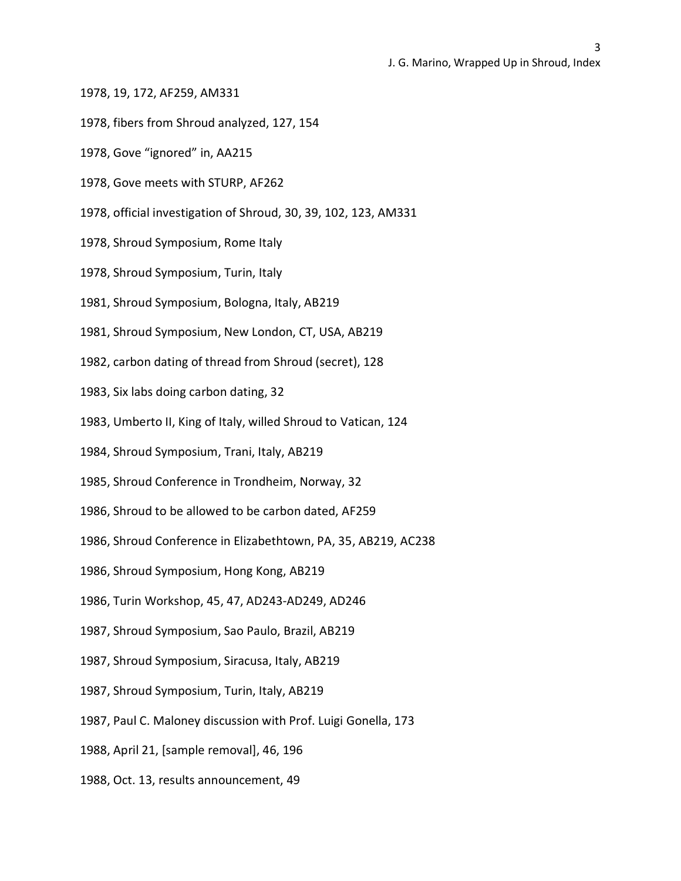- 1978, 19, 172, AF259, AM331
- 1978, fibers from Shroud analyzed, 127, 154
- 1978, Gove "ignored" in, AA215
- 1978, Gove meets with STURP, AF262
- 1978, official investigation of Shroud, 30, 39, 102, 123, AM331
- 1978, Shroud Symposium, Rome Italy
- 1978, Shroud Symposium, Turin, Italy
- 1981, Shroud Symposium, Bologna, Italy, AB219
- 1981, Shroud Symposium, New London, CT, USA, AB219
- 1982, carbon dating of thread from Shroud (secret), 128
- 1983, Six labs doing carbon dating, 32
- 1983, Umberto II, King of Italy, willed Shroud to Vatican, 124
- 1984, Shroud Symposium, Trani, Italy, AB219
- 1985, Shroud Conference in Trondheim, Norway, 32
- 1986, Shroud to be allowed to be carbon dated, AF259
- 1986, Shroud Conference in Elizabethtown, PA, 35, AB219, AC238
- 1986, Shroud Symposium, Hong Kong, AB219
- 1986, Turin Workshop, 45, 47, AD243-AD249, AD246
- 1987, Shroud Symposium, Sao Paulo, Brazil, AB219
- 1987, Shroud Symposium, Siracusa, Italy, AB219
- 1987, Shroud Symposium, Turin, Italy, AB219
- 1987, Paul C. Maloney discussion with Prof. Luigi Gonella, 173
- 1988, April 21, [sample removal], 46, 196
- 1988, Oct. 13, results announcement, 49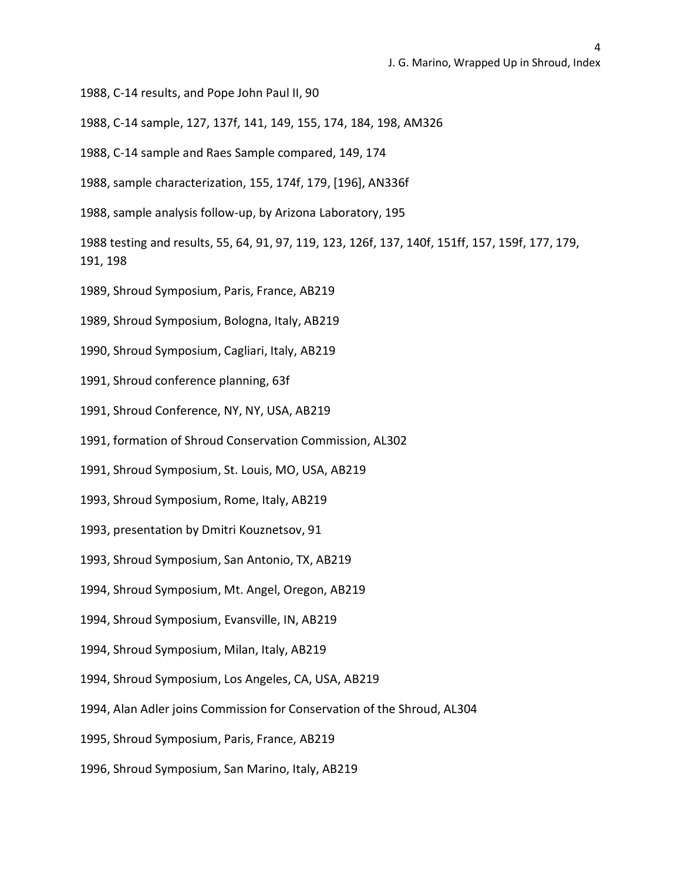1988, C-14 results, and Pope John Paul II, 90

1988, C-14 sample, 127, 137f, 141, 149, 155, 174, 184, 198, AM326

1988, C-14 sample and Raes Sample compared, 149, 174

1988, sample characterization, 155, 174f, 179, [196], AN336f

1988, sample analysis follow-up, by Arizona Laboratory, 195

1988 testing and results, 55, 64, 91, 97, 119, 123, 126f, 137, 140f, 151ff, 157, 159f, 177, 179, 191, 198

1989, Shroud Symposium, Paris, France, AB219

1989, Shroud Symposium, Bologna, Italy, AB219

1990, Shroud Symposium, Cagliari, Italy, AB219

1991, Shroud conference planning, 63f

1991, Shroud Conference, NY, NY, USA, AB219

1991, formation of Shroud Conservation Commission, AL302

1991, Shroud Symposium, St. Louis, MO, USA, AB219

1993, Shroud Symposium, Rome, Italy, AB219

1993, presentation by Dmitri Kouznetsov, 91

1993, Shroud Symposium, San Antonio, TX, AB219

1994, Shroud Symposium, Mt. Angel, Oregon, AB219

1994, Shroud Symposium, Evansville, IN, AB219

1994, Shroud Symposium, Milan, Italy, AB219

1994, Shroud Symposium, Los Angeles, CA, USA, AB219

1994, Alan Adler joins Commission for Conservation of the Shroud, AL304

1995, Shroud Symposium, Paris, France, AB219

1996, Shroud Symposium, San Marino, Italy, AB219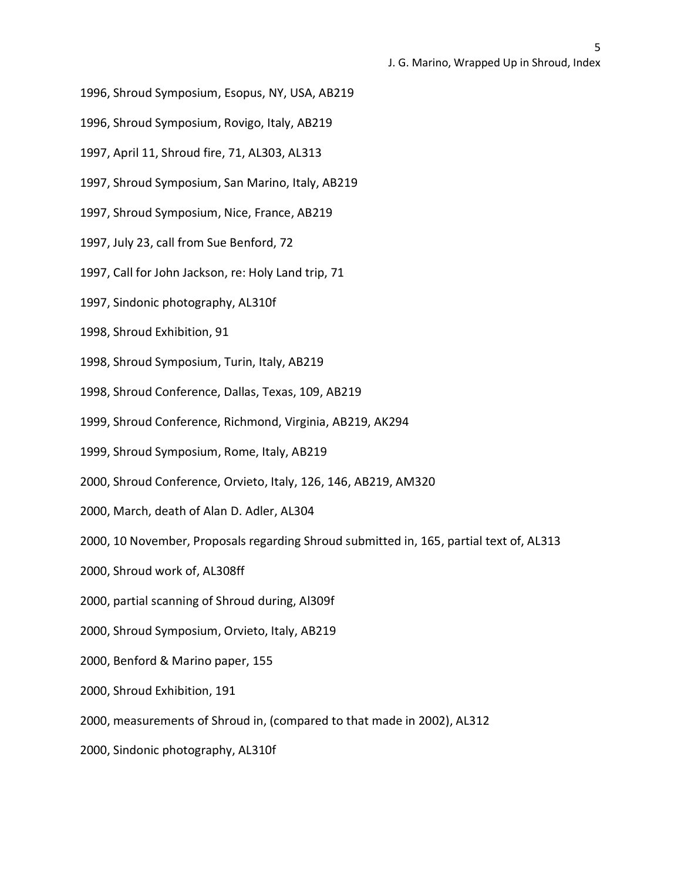- 1996, Shroud Symposium, Esopus, NY, USA, AB219
- 1996, Shroud Symposium, Rovigo, Italy, AB219
- 1997, April 11, Shroud fire, 71, AL303, AL313
- 1997, Shroud Symposium, San Marino, Italy, AB219
- 1997, Shroud Symposium, Nice, France, AB219
- 1997, July 23, call from Sue Benford, 72
- 1997, Call for John Jackson, re: Holy Land trip, 71
- 1997, Sindonic photography, AL310f
- 1998, Shroud Exhibition, 91
- 1998, Shroud Symposium, Turin, Italy, AB219
- 1998, Shroud Conference, Dallas, Texas, 109, AB219
- 1999, Shroud Conference, Richmond, Virginia, AB219, AK294
- 1999, Shroud Symposium, Rome, Italy, AB219
- 2000, Shroud Conference, Orvieto, Italy, 126, 146, AB219, AM320
- 2000, March, death of Alan D. Adler, AL304
- 2000, 10 November, Proposals regarding Shroud submitted in, 165, partial text of, AL313
- 2000, Shroud work of, AL308ff
- 2000, partial scanning of Shroud during, Al309f
- 2000, Shroud Symposium, Orvieto, Italy, AB219
- 2000, Benford & Marino paper, 155
- 2000, Shroud Exhibition, 191
- 2000, measurements of Shroud in, (compared to that made in 2002), AL312
- 2000, Sindonic photography, AL310f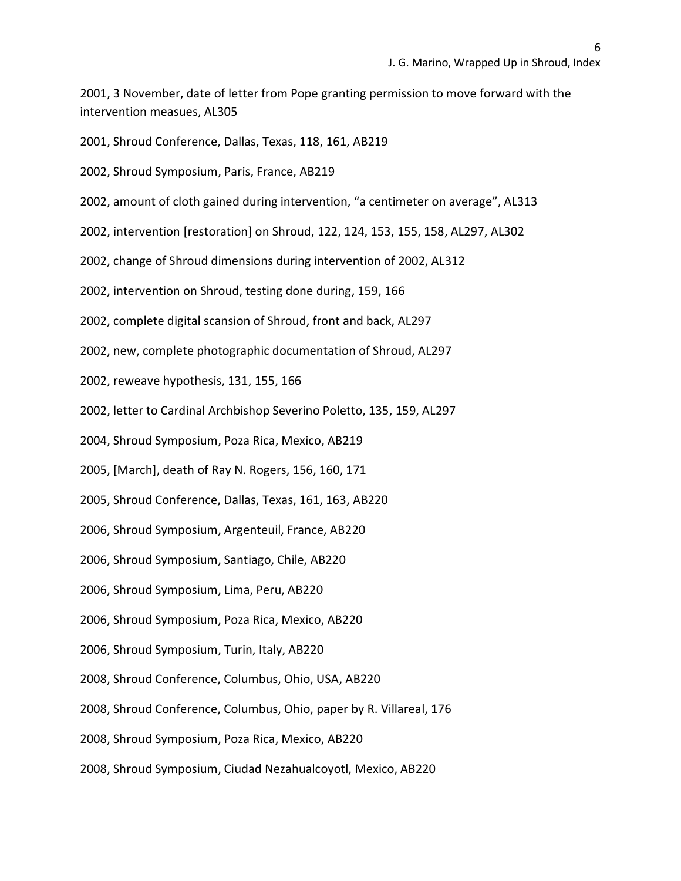2001, 3 November, date of letter from Pope granting permission to move forward with the intervention measues, AL305

2001, Shroud Conference, Dallas, Texas, 118, 161, AB219

2002, Shroud Symposium, Paris, France, AB219

2002, amount of cloth gained during intervention, "a centimeter on average", AL313

2002, intervention [restoration] on Shroud, 122, 124, 153, 155, 158, AL297, AL302

2002, change of Shroud dimensions during intervention of 2002, AL312

2002, intervention on Shroud, testing done during, 159, 166

2002, complete digital scansion of Shroud, front and back, AL297

2002, new, complete photographic documentation of Shroud, AL297

2002, reweave hypothesis, 131, 155, 166

2002, letter to Cardinal Archbishop Severino Poletto, 135, 159, AL297

2004, Shroud Symposium, Poza Rica, Mexico, AB219

2005, [March], death of Ray N. Rogers, 156, 160, 171

2005, Shroud Conference, Dallas, Texas, 161, 163, AB220

2006, Shroud Symposium, Argenteuil, France, AB220

2006, Shroud Symposium, Santiago, Chile, AB220

2006, Shroud Symposium, Lima, Peru, AB220

2006, Shroud Symposium, Poza Rica, Mexico, AB220

2006, Shroud Symposium, Turin, Italy, AB220

2008, Shroud Conference, Columbus, Ohio, USA, AB220

2008, Shroud Conference, Columbus, Ohio, paper by R. Villareal, 176

2008, Shroud Symposium, Poza Rica, Mexico, AB220

2008, Shroud Symposium, Ciudad Nezahualcoyotl, Mexico, AB220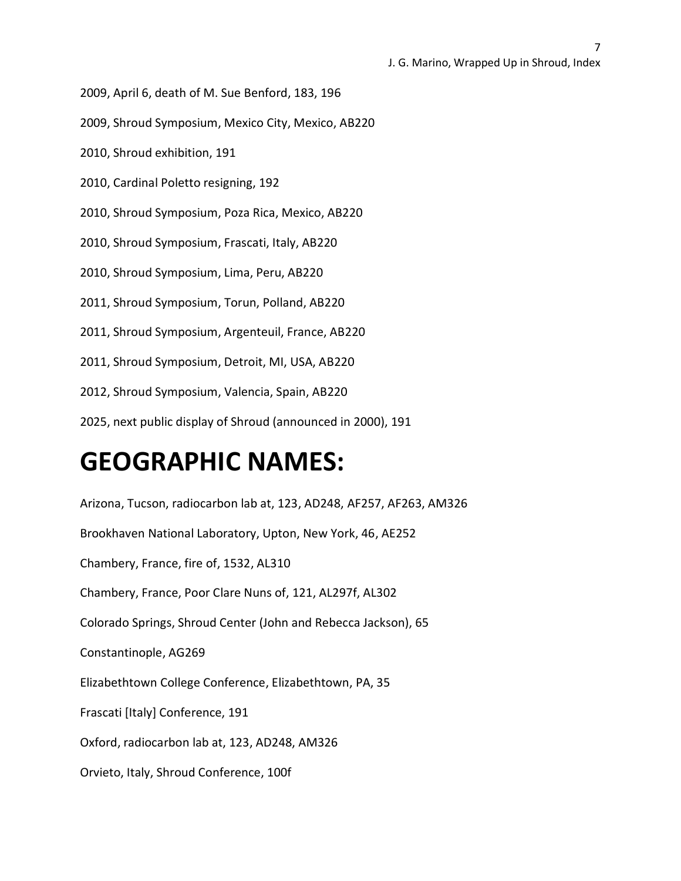2009, April 6, death of M. Sue Benford, 183, 196

2009, Shroud Symposium, Mexico City, Mexico, AB220

2010, Shroud exhibition, 191

2010, Cardinal Poletto resigning, 192

2010, Shroud Symposium, Poza Rica, Mexico, AB220

2010, Shroud Symposium, Frascati, Italy, AB220

2010, Shroud Symposium, Lima, Peru, AB220

2011, Shroud Symposium, Torun, Polland, AB220

2011, Shroud Symposium, Argenteuil, France, AB220

2011, Shroud Symposium, Detroit, MI, USA, AB220

2012, Shroud Symposium, Valencia, Spain, AB220

2025, next public display of Shroud (announced in 2000), 191

## **GEOGRAPHIC NAMES:**

Arizona, Tucson, radiocarbon lab at, 123, AD248, AF257, AF263, AM326 Brookhaven National Laboratory, Upton, New York, 46, AE252 Chambery, France, fire of, 1532, AL310 Chambery, France, Poor Clare Nuns of, 121, AL297f, AL302 Colorado Springs, Shroud Center (John and Rebecca Jackson), 65 Constantinople, AG269 Elizabethtown College Conference, Elizabethtown, PA, 35 Frascati [Italy] Conference, 191 Oxford, radiocarbon lab at, 123, AD248, AM326 Orvieto, Italy, Shroud Conference, 100f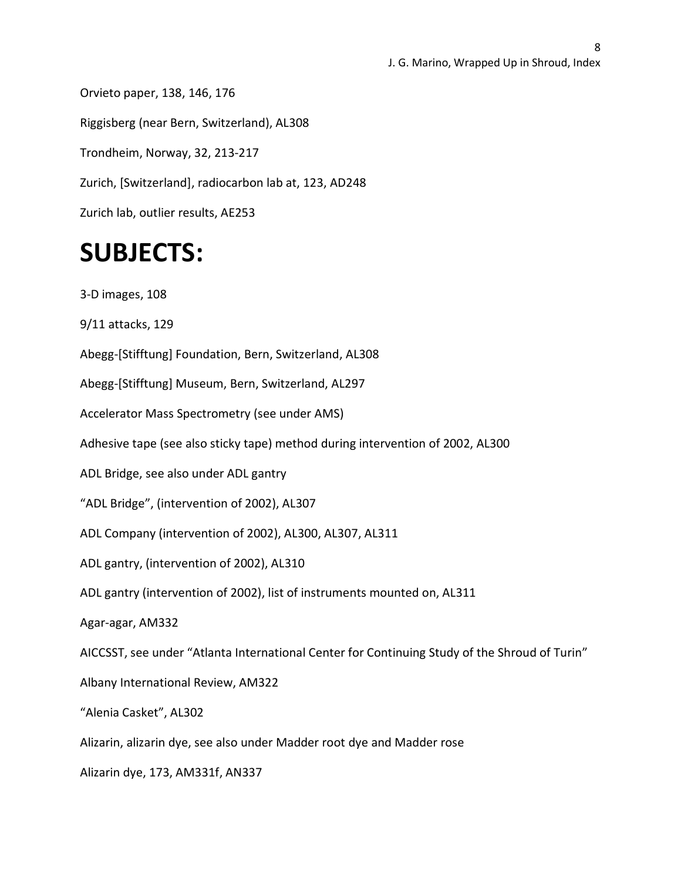Orvieto paper, 138, 146, 176 Riggisberg (near Bern, Switzerland), AL308 Trondheim, Norway, 32, 213-217 Zurich, [Switzerland], radiocarbon lab at, 123, AD248 Zurich lab, outlier results, AE253

## **SUBJECTS:**

3-D images, 108

9/11 attacks, 129

Abegg-[Stifftung] Foundation, Bern, Switzerland, AL308

Abegg-[Stifftung] Museum, Bern, Switzerland, AL297

Accelerator Mass Spectrometry (see under AMS)

Adhesive tape (see also sticky tape) method during intervention of 2002, AL300

ADL Bridge, see also under ADL gantry

"ADL Bridge", (intervention of 2002), AL307

ADL Company (intervention of 2002), AL300, AL307, AL311

ADL gantry, (intervention of 2002), AL310

ADL gantry (intervention of 2002), list of instruments mounted on, AL311

Agar-agar, AM332

AICCSST, see under "Atlanta International Center for Continuing Study of the Shroud of Turin"

Albany International Review, AM322

"Alenia Casket", AL302

Alizarin, alizarin dye, see also under Madder root dye and Madder rose

Alizarin dye, 173, AM331f, AN337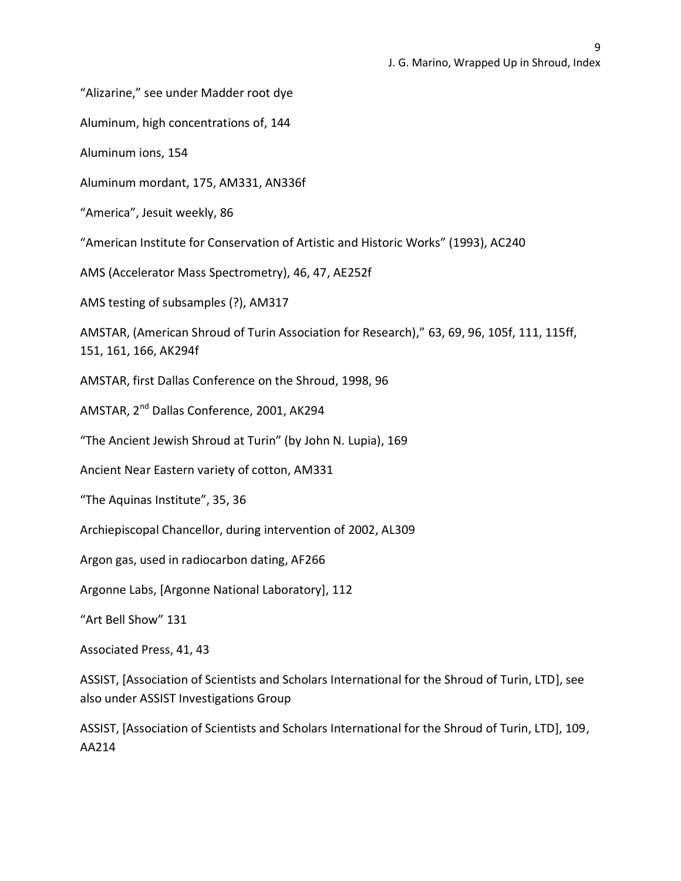"Alizarine," see under Madder root dye

Aluminum, high concentrations of, 144

Aluminum ions, 154

Aluminum mordant, 175, AM331, AN336f

"America", Jesuit weekly, 86

"American Institute for Conservation of Artistic and Historic Works" (1993), AC240

AMS (Accelerator Mass Spectrometry), 46, 47, AE252f

AMS testing of subsamples (?), AM317

AMSTAR, (American Shroud of Turin Association for Research)," 63, 69, 96, 105f, 111, 115ff, 151, 161, 166, AK294f

AMSTAR, first Dallas Conference on the Shroud, 1998, 96

AMSTAR, 2<sup>nd</sup> Dallas Conference, 2001, AK294

"The Ancient Jewish Shroud at Turin" (by John N. Lupia), 169

Ancient Near Eastern variety of cotton, AM331

"The Aquinas Institute", 35, 36

Archiepiscopal Chancellor, during intervention of 2002, AL309

Argon gas, used in radiocarbon dating, AF266

Argonne Labs, [Argonne National Laboratory], 112

"Art Bell Show" 131

Associated Press, 41, 43

ASSIST, [Association of Scientists and Scholars International for the Shroud of Turin, LTD], see also under ASSIST Investigations Group

ASSIST, [Association of Scientists and Scholars International for the Shroud of Turin, LTD], 109, AA214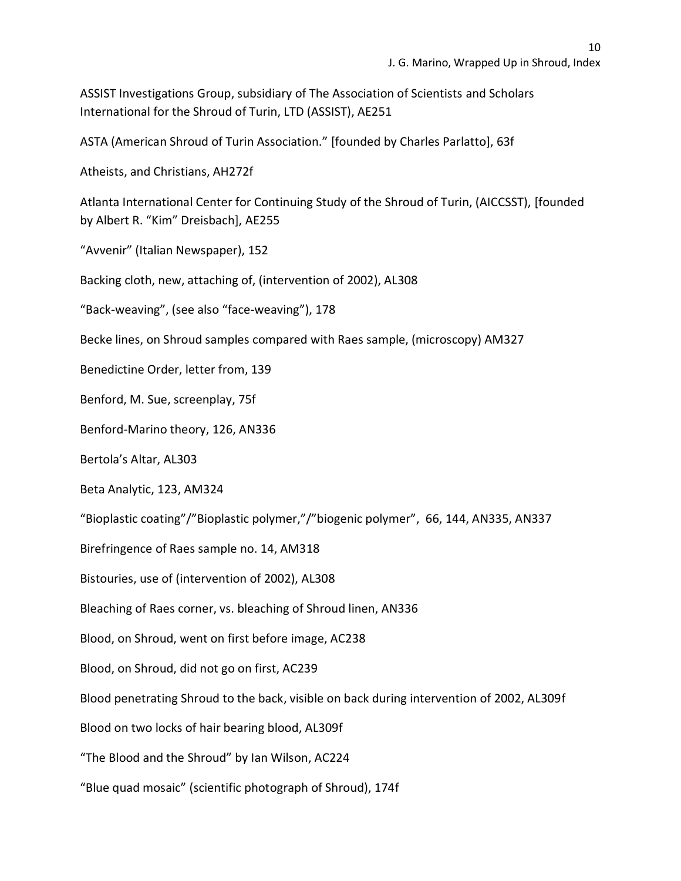ASSIST Investigations Group, subsidiary of The Association of Scientists and Scholars International for the Shroud of Turin, LTD (ASSIST), AE251

ASTA (American Shroud of Turin Association." [founded by Charles Parlatto], 63f

Atheists, and Christians, AH272f

Atlanta International Center for Continuing Study of the Shroud of Turin, (AICCSST), [founded by Albert R. "Kim" Dreisbach], AE255

"Avvenir" (Italian Newspaper), 152

Backing cloth, new, attaching of, (intervention of 2002), AL308

"Back-weaving", (see also "face-weaving"), 178

Becke lines, on Shroud samples compared with Raes sample, (microscopy) AM327

Benedictine Order, letter from, 139

Benford, M. Sue, screenplay, 75f

Benford-Marino theory, 126, AN336

Bertola's Altar, AL303

Beta Analytic, 123, AM324

"Bioplastic coating"/"Bioplastic polymer,"/"biogenic polymer", 66, 144, AN335, AN337

Birefringence of Raes sample no. 14, AM318

Bistouries, use of (intervention of 2002), AL308

Bleaching of Raes corner, vs. bleaching of Shroud linen, AN336

Blood, on Shroud, went on first before image, AC238

Blood, on Shroud, did not go on first, AC239

Blood penetrating Shroud to the back, visible on back during intervention of 2002, AL309f

Blood on two locks of hair bearing blood, AL309f

"The Blood and the Shroud" by Ian Wilson, AC224

"Blue quad mosaic" (scientific photograph of Shroud), 174f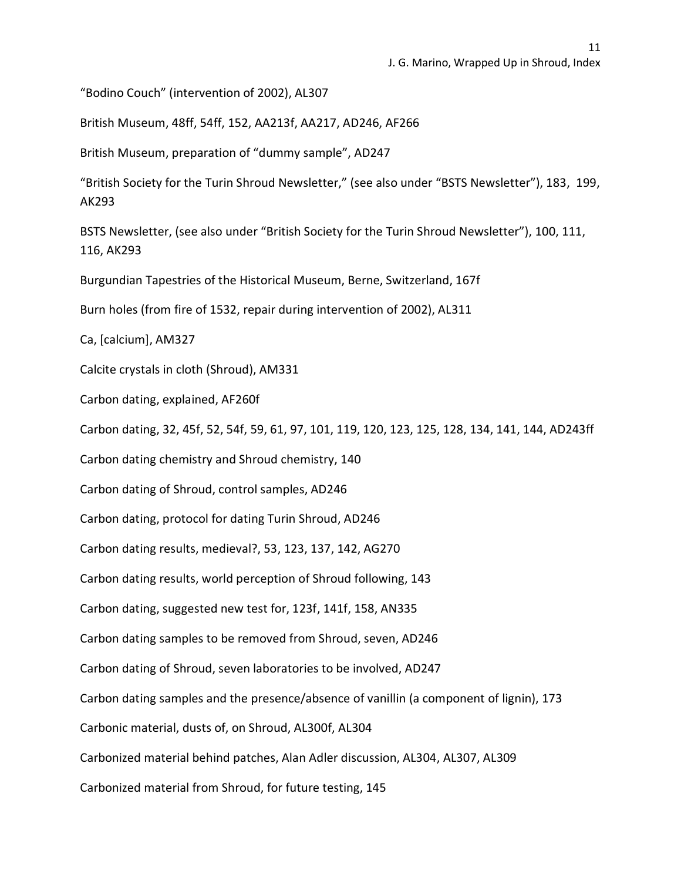"Bodino Couch" (intervention of 2002), AL307

British Museum, 48ff, 54ff, 152, AA213f, AA217, AD246, AF266

British Museum, preparation of "dummy sample", AD247

"British Society for the Turin Shroud Newsletter," (see also under "BSTS Newsletter"), 183, 199, AK293

BSTS Newsletter, (see also under "British Society for the Turin Shroud Newsletter"), 100, 111, 116, AK293

Burgundian Tapestries of the Historical Museum, Berne, Switzerland, 167f

Burn holes (from fire of 1532, repair during intervention of 2002), AL311

Ca, [calcium], AM327

Calcite crystals in cloth (Shroud), AM331

Carbon dating, explained, AF260f

Carbon dating, 32, 45f, 52, 54f, 59, 61, 97, 101, 119, 120, 123, 125, 128, 134, 141, 144, AD243ff

Carbon dating chemistry and Shroud chemistry, 140

Carbon dating of Shroud, control samples, AD246

Carbon dating, protocol for dating Turin Shroud, AD246

Carbon dating results, medieval?, 53, 123, 137, 142, AG270

Carbon dating results, world perception of Shroud following, 143

Carbon dating, suggested new test for, 123f, 141f, 158, AN335

Carbon dating samples to be removed from Shroud, seven, AD246

Carbon dating of Shroud, seven laboratories to be involved, AD247

Carbon dating samples and the presence/absence of vanillin (a component of lignin), 173

Carbonic material, dusts of, on Shroud, AL300f, AL304

Carbonized material behind patches, Alan Adler discussion, AL304, AL307, AL309

Carbonized material from Shroud, for future testing, 145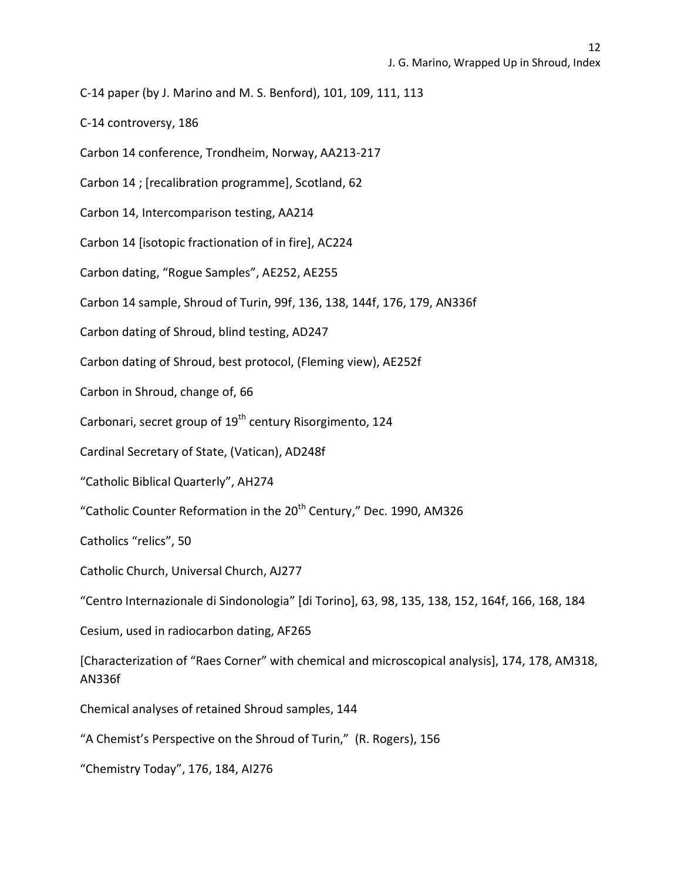C-14 paper (by J. Marino and M. S. Benford), 101, 109, 111, 113

C-14 controversy, 186

Carbon 14 conference, Trondheim, Norway, AA213-217

Carbon 14 ; [recalibration programme], Scotland, 62

Carbon 14, Intercomparison testing, AA214

Carbon 14 [isotopic fractionation of in fire], AC224

Carbon dating, "Rogue Samples", AE252, AE255

Carbon 14 sample, Shroud of Turin, 99f, 136, 138, 144f, 176, 179, AN336f

Carbon dating of Shroud, blind testing, AD247

Carbon dating of Shroud, best protocol, (Fleming view), AE252f

Carbon in Shroud, change of, 66

Carbonari, secret group of 19<sup>th</sup> century Risorgimento, 124

Cardinal Secretary of State, (Vatican), AD248f

"Catholic Biblical Quarterly", AH274

"Catholic Counter Reformation in the 20<sup>th</sup> Century," Dec. 1990, AM326

Catholics "relics", 50

Catholic Church, Universal Church, AJ277

"Centro Internazionale di Sindonologia" [di Torino], 63, 98, 135, 138, 152, 164f, 166, 168, 184

Cesium, used in radiocarbon dating, AF265

[Characterization of "Raes Corner" with chemical and microscopical analysis], 174, 178, AM318, AN336f

Chemical analyses of retained Shroud samples, 144

"A Chemist's Perspective on the Shroud of Turin," (R. Rogers), 156

"Chemistry Today", 176, 184, AI276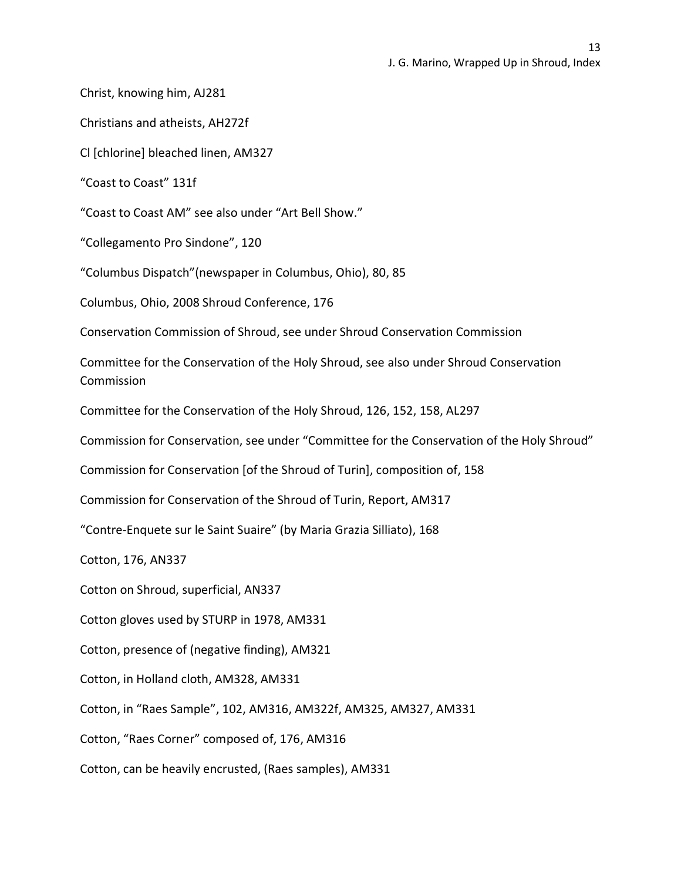Christ, knowing him, AJ281

Christians and atheists, AH272f

Cl [chlorine] bleached linen, AM327

"Coast to Coast" 131f

"Coast to Coast AM" see also under "Art Bell Show."

"Collegamento Pro Sindone", 120

"Columbus Dispatch"(newspaper in Columbus, Ohio), 80, 85

Columbus, Ohio, 2008 Shroud Conference, 176

Conservation Commission of Shroud, see under Shroud Conservation Commission

Committee for the Conservation of the Holy Shroud, see also under Shroud Conservation Commission

Committee for the Conservation of the Holy Shroud, 126, 152, 158, AL297

Commission for Conservation, see under "Committee for the Conservation of the Holy Shroud"

Commission for Conservation [of the Shroud of Turin], composition of, 158

Commission for Conservation of the Shroud of Turin, Report, AM317

"Contre-Enquete sur le Saint Suaire" (by Maria Grazia Silliato), 168

Cotton, 176, AN337

Cotton on Shroud, superficial, AN337

Cotton gloves used by STURP in 1978, AM331

Cotton, presence of (negative finding), AM321

Cotton, in Holland cloth, AM328, AM331

Cotton, in "Raes Sample", 102, AM316, AM322f, AM325, AM327, AM331

Cotton, "Raes Corner" composed of, 176, AM316

Cotton, can be heavily encrusted, (Raes samples), AM331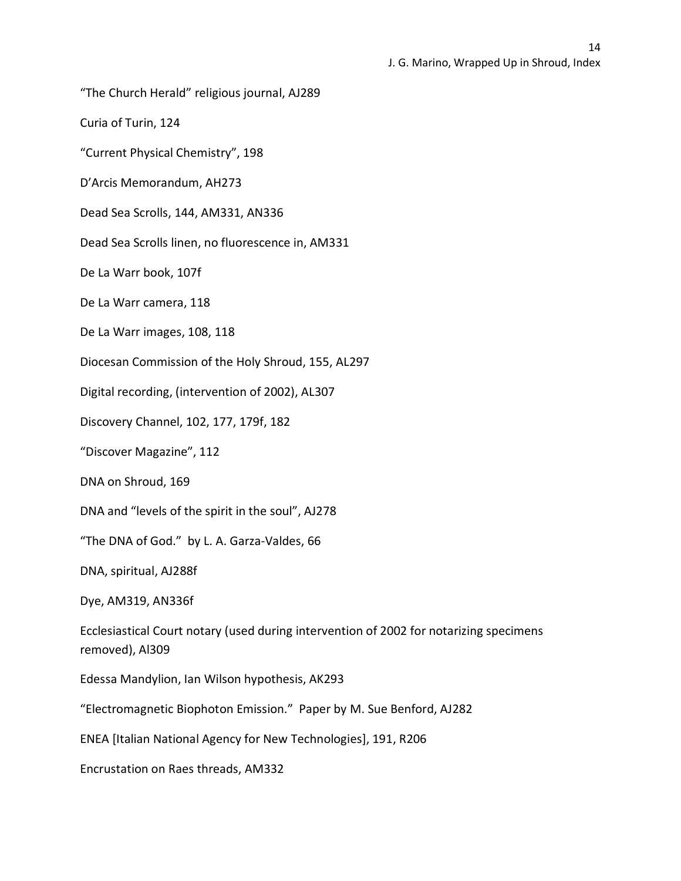"The Church Herald" religious journal, AJ289

Curia of Turin, 124

"Current Physical Chemistry", 198

D'Arcis Memorandum, AH273

Dead Sea Scrolls, 144, AM331, AN336

Dead Sea Scrolls linen, no fluorescence in, AM331

De La Warr book, 107f

De La Warr camera, 118

De La Warr images, 108, 118

Diocesan Commission of the Holy Shroud, 155, AL297

Digital recording, (intervention of 2002), AL307

Discovery Channel, 102, 177, 179f, 182

"Discover Magazine", 112

DNA on Shroud, 169

DNA and "levels of the spirit in the soul", AJ278

"The DNA of God." by L. A. Garza-Valdes, 66

DNA, spiritual, AJ288f

Dye, AM319, AN336f

Ecclesiastical Court notary (used during intervention of 2002 for notarizing specimens removed), Al309

Edessa Mandylion, Ian Wilson hypothesis, AK293

"Electromagnetic Biophoton Emission." Paper by M. Sue Benford, AJ282

ENEA [Italian National Agency for New Technologies], 191, R206

Encrustation on Raes threads, AM332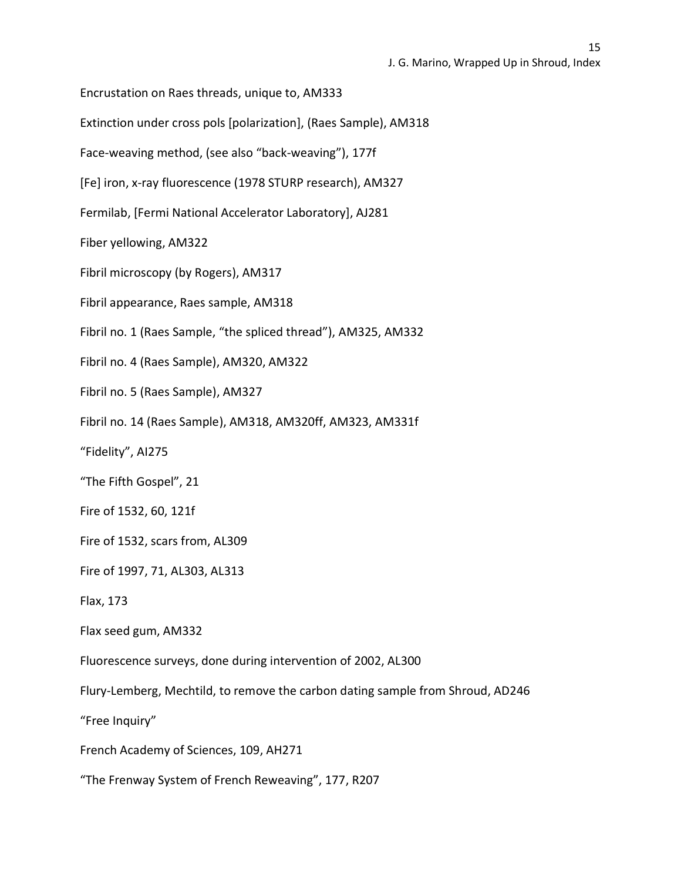Encrustation on Raes threads, unique to, AM333

Extinction under cross pols [polarization], (Raes Sample), AM318

Face-weaving method, (see also "back-weaving"), 177f

[Fe] iron, x-ray fluorescence (1978 STURP research), AM327

Fermilab, [Fermi National Accelerator Laboratory], AJ281

Fiber yellowing, AM322

Fibril microscopy (by Rogers), AM317

Fibril appearance, Raes sample, AM318

Fibril no. 1 (Raes Sample, "the spliced thread"), AM325, AM332

Fibril no. 4 (Raes Sample), AM320, AM322

Fibril no. 5 (Raes Sample), AM327

Fibril no. 14 (Raes Sample), AM318, AM320ff, AM323, AM331f

"Fidelity", AI275

"The Fifth Gospel", 21

Fire of 1532, 60, 121f

Fire of 1532, scars from, AL309

Fire of 1997, 71, AL303, AL313

Flax, 173

Flax seed gum, AM332

Fluorescence surveys, done during intervention of 2002, AL300

Flury-Lemberg, Mechtild, to remove the carbon dating sample from Shroud, AD246

"Free Inquiry"

French Academy of Sciences, 109, AH271

"The Frenway System of French Reweaving", 177, R207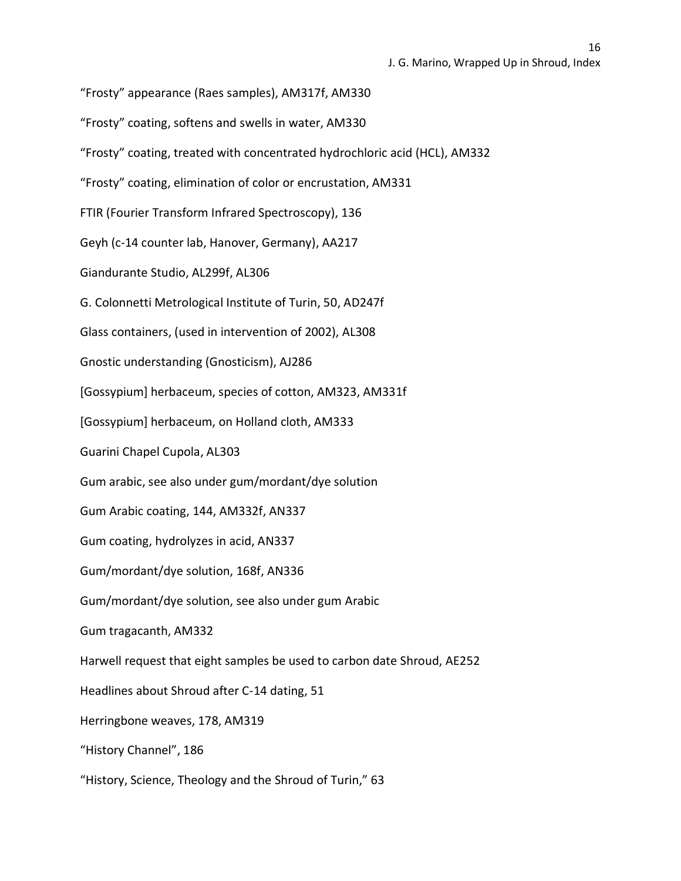"Frosty" appearance (Raes samples), AM317f, AM330

"Frosty" coating, softens and swells in water, AM330

"Frosty" coating, treated with concentrated hydrochloric acid (HCL), AM332

"Frosty" coating, elimination of color or encrustation, AM331

FTIR (Fourier Transform Infrared Spectroscopy), 136

Geyh (c-14 counter lab, Hanover, Germany), AA217

Giandurante Studio, AL299f, AL306

G. Colonnetti Metrological Institute of Turin, 50, AD247f

Glass containers, (used in intervention of 2002), AL308

Gnostic understanding (Gnosticism), AJ286

[Gossypium] herbaceum, species of cotton, AM323, AM331f

[Gossypium] herbaceum, on Holland cloth, AM333

Guarini Chapel Cupola, AL303

Gum arabic, see also under gum/mordant/dye solution

Gum Arabic coating, 144, AM332f, AN337

Gum coating, hydrolyzes in acid, AN337

Gum/mordant/dye solution, 168f, AN336

Gum/mordant/dye solution, see also under gum Arabic

Gum tragacanth, AM332

Harwell request that eight samples be used to carbon date Shroud, AE252

Headlines about Shroud after C-14 dating, 51

Herringbone weaves, 178, AM319

"History Channel", 186

"History, Science, Theology and the Shroud of Turin," 63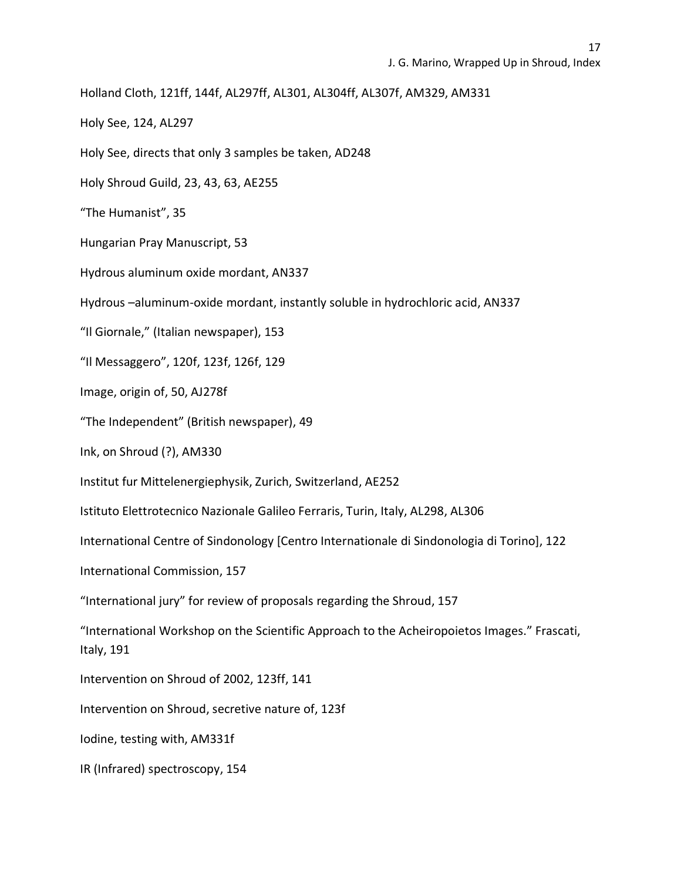Holland Cloth, 121ff, 144f, AL297ff, AL301, AL304ff, AL307f, AM329, AM331

Holy See, 124, AL297

Holy See, directs that only 3 samples be taken, AD248

Holy Shroud Guild, 23, 43, 63, AE255

"The Humanist", 35

Hungarian Pray Manuscript, 53

Hydrous aluminum oxide mordant, AN337

Hydrous –aluminum-oxide mordant, instantly soluble in hydrochloric acid, AN337

"Il Giornale," (Italian newspaper), 153

"Il Messaggero", 120f, 123f, 126f, 129

Image, origin of, 50, AJ278f

"The Independent" (British newspaper), 49

Ink, on Shroud (?), AM330

Institut fur Mittelenergiephysik, Zurich, Switzerland, AE252

Istituto Elettrotecnico Nazionale Galileo Ferraris, Turin, Italy, AL298, AL306

International Centre of Sindonology [Centro Internationale di Sindonologia di Torino], 122

International Commission, 157

"International jury" for review of proposals regarding the Shroud, 157

"International Workshop on the Scientific Approach to the Acheiropoietos Images." Frascati, Italy, 191

Intervention on Shroud of 2002, 123ff, 141

Intervention on Shroud, secretive nature of, 123f

Iodine, testing with, AM331f

IR (Infrared) spectroscopy, 154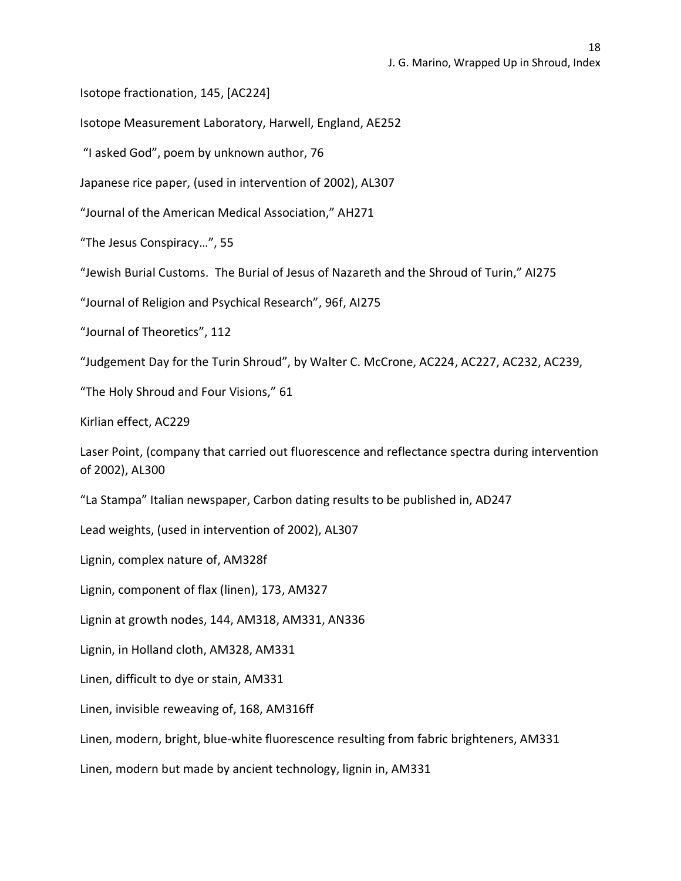Isotope fractionation, 145, [AC224]

Isotope Measurement Laboratory, Harwell, England, AE252

"I asked God", poem by unknown author, 76

Japanese rice paper, (used in intervention of 2002), AL307

"Journal of the American Medical Association," AH271

"The Jesus Conspiracy…", 55

"Jewish Burial Customs. The Burial of Jesus of Nazareth and the Shroud of Turin," AI275

"Journal of Religion and Psychical Research", 96f, AI275

"Journal of Theoretics", 112

"Judgement Day for the Turin Shroud", by Walter C. McCrone, AC224, AC227, AC232, AC239,

"The Holy Shroud and Four Visions," 61

Kirlian effect, AC229

Laser Point, (company that carried out fluorescence and reflectance spectra during intervention of 2002), AL300

"La Stampa" Italian newspaper, Carbon dating results to be published in, AD247

Lead weights, (used in intervention of 2002), AL307

Lignin, complex nature of, AM328f

Lignin, component of flax (linen), 173, AM327

Lignin at growth nodes, 144, AM318, AM331, AN336

Lignin, in Holland cloth, AM328, AM331

Linen, difficult to dye or stain, AM331

Linen, invisible reweaving of, 168, AM316ff

Linen, modern, bright, blue-white fluorescence resulting from fabric brighteners, AM331

Linen, modern but made by ancient technology, lignin in, AM331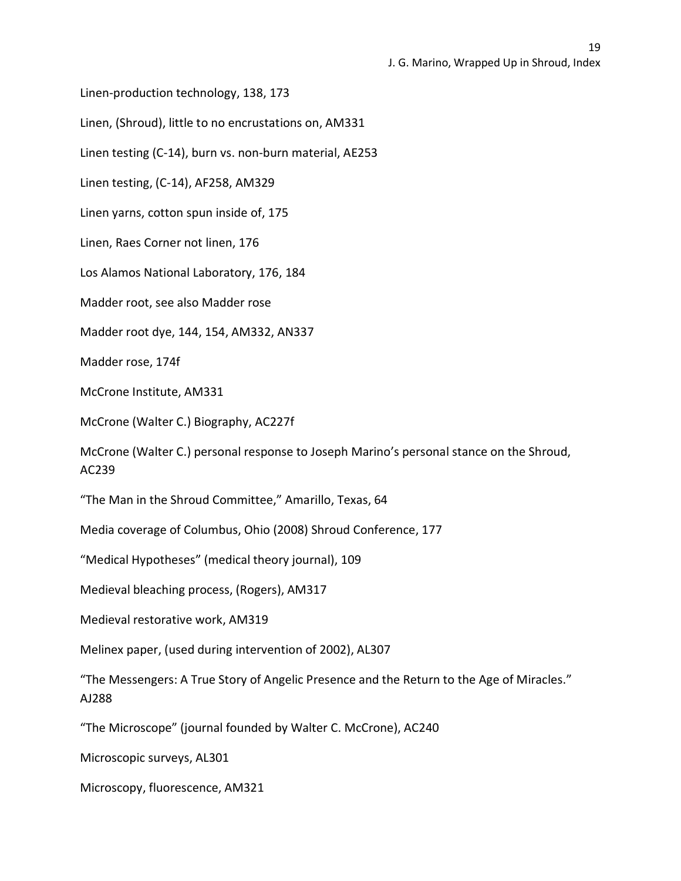Linen-production technology, 138, 173

Linen, (Shroud), little to no encrustations on, AM331

Linen testing (C-14), burn vs. non-burn material, AE253

Linen testing, (C-14), AF258, AM329

Linen yarns, cotton spun inside of, 175

Linen, Raes Corner not linen, 176

Los Alamos National Laboratory, 176, 184

Madder root, see also Madder rose

Madder root dye, 144, 154, AM332, AN337

Madder rose, 174f

McCrone Institute, AM331

McCrone (Walter C.) Biography, AC227f

McCrone (Walter C.) personal response to Joseph Marino's personal stance on the Shroud, AC239

"The Man in the Shroud Committee," Amarillo, Texas, 64

Media coverage of Columbus, Ohio (2008) Shroud Conference, 177

"Medical Hypotheses" (medical theory journal), 109

Medieval bleaching process, (Rogers), AM317

Medieval restorative work, AM319

Melinex paper, (used during intervention of 2002), AL307

"The Messengers: A True Story of Angelic Presence and the Return to the Age of Miracles." AJ288

"The Microscope" (journal founded by Walter C. McCrone), AC240

Microscopic surveys, AL301

Microscopy, fluorescence, AM321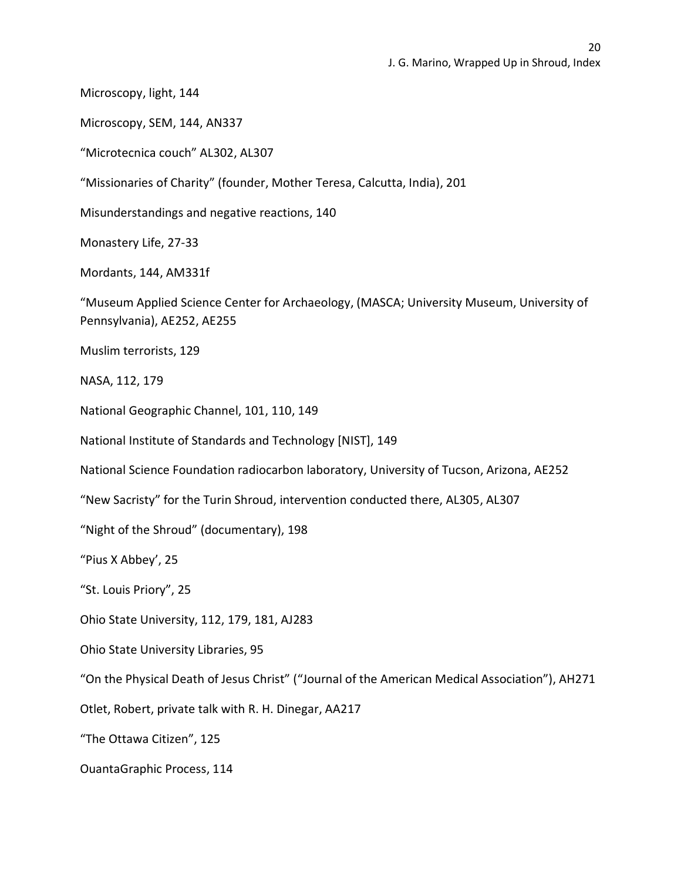Microscopy, light, 144

Microscopy, SEM, 144, AN337

"Microtecnica couch" AL302, AL307

"Missionaries of Charity" (founder, Mother Teresa, Calcutta, India), 201

Misunderstandings and negative reactions, 140

Monastery Life, 27-33

Mordants, 144, AM331f

"Museum Applied Science Center for Archaeology, (MASCA; University Museum, University of Pennsylvania), AE252, AE255

Muslim terrorists, 129

NASA, 112, 179

National Geographic Channel, 101, 110, 149

National Institute of Standards and Technology [NIST], 149

National Science Foundation radiocarbon laboratory, University of Tucson, Arizona, AE252

"New Sacristy" for the Turin Shroud, intervention conducted there, AL305, AL307

"Night of the Shroud" (documentary), 198

"Pius X Abbey', 25

"St. Louis Priory", 25

Ohio State University, 112, 179, 181, AJ283

Ohio State University Libraries, 95

"On the Physical Death of Jesus Christ" ("Journal of the American Medical Association"), AH271

Otlet, Robert, private talk with R. H. Dinegar, AA217

"The Ottawa Citizen", 125

OuantaGraphic Process, 114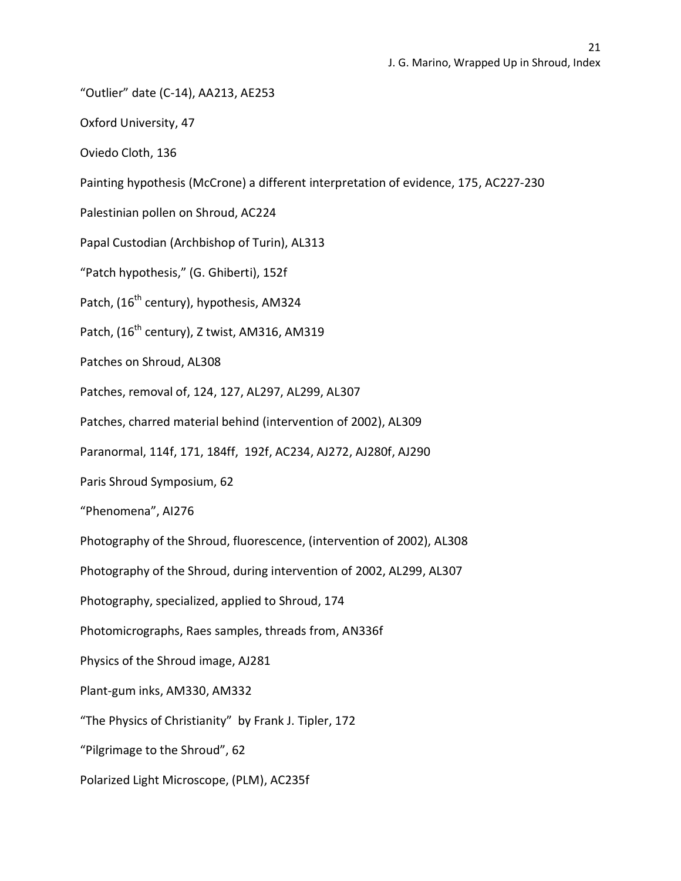"Outlier" date (C-14), AA213, AE253

Oxford University, 47

Oviedo Cloth, 136

Painting hypothesis (McCrone) a different interpretation of evidence, 175, AC227-230

Palestinian pollen on Shroud, AC224

Papal Custodian (Archbishop of Turin), AL313

"Patch hypothesis," (G. Ghiberti), 152f

Patch, (16<sup>th</sup> century), hypothesis, AM324

Patch, (16<sup>th</sup> century), Z twist, AM316, AM319

Patches on Shroud, AL308

Patches, removal of, 124, 127, AL297, AL299, AL307

Patches, charred material behind (intervention of 2002), AL309

Paranormal, 114f, 171, 184ff, 192f, AC234, AJ272, AJ280f, AJ290

Paris Shroud Symposium, 62

"Phenomena", AI276

Photography of the Shroud, fluorescence, (intervention of 2002), AL308

Photography of the Shroud, during intervention of 2002, AL299, AL307

Photography, specialized, applied to Shroud, 174

Photomicrographs, Raes samples, threads from, AN336f

Physics of the Shroud image, AJ281

Plant-gum inks, AM330, AM332

"The Physics of Christianity" by Frank J. Tipler, 172

"Pilgrimage to the Shroud", 62

Polarized Light Microscope, (PLM), AC235f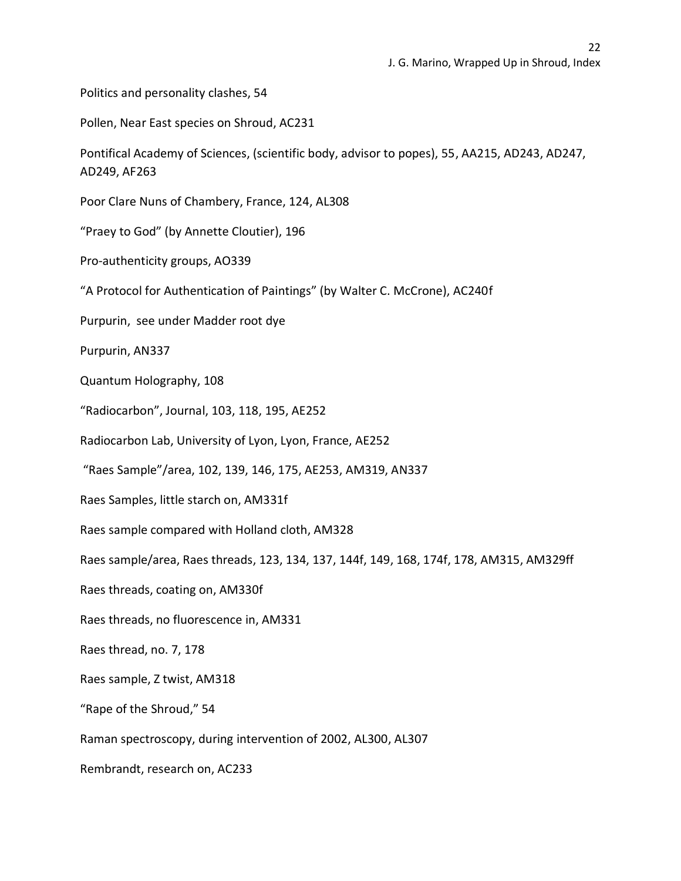Politics and personality clashes, 54

Pollen, Near East species on Shroud, AC231

Pontifical Academy of Sciences, (scientific body, advisor to popes), 55, AA215, AD243, AD247, AD249, AF263

Poor Clare Nuns of Chambery, France, 124, AL308

"Praey to God" (by Annette Cloutier), 196

Pro-authenticity groups, AO339

"A Protocol for Authentication of Paintings" (by Walter C. McCrone), AC240f

Purpurin, see under Madder root dye

Purpurin, AN337

Quantum Holography, 108

"Radiocarbon", Journal, 103, 118, 195, AE252

Radiocarbon Lab, University of Lyon, Lyon, France, AE252

"Raes Sample"/area, 102, 139, 146, 175, AE253, AM319, AN337

Raes Samples, little starch on, AM331f

Raes sample compared with Holland cloth, AM328

Raes sample/area, Raes threads, 123, 134, 137, 144f, 149, 168, 174f, 178, AM315, AM329ff

Raes threads, coating on, AM330f

Raes threads, no fluorescence in, AM331

Raes thread, no. 7, 178

Raes sample, Z twist, AM318

"Rape of the Shroud," 54

Raman spectroscopy, during intervention of 2002, AL300, AL307

Rembrandt, research on, AC233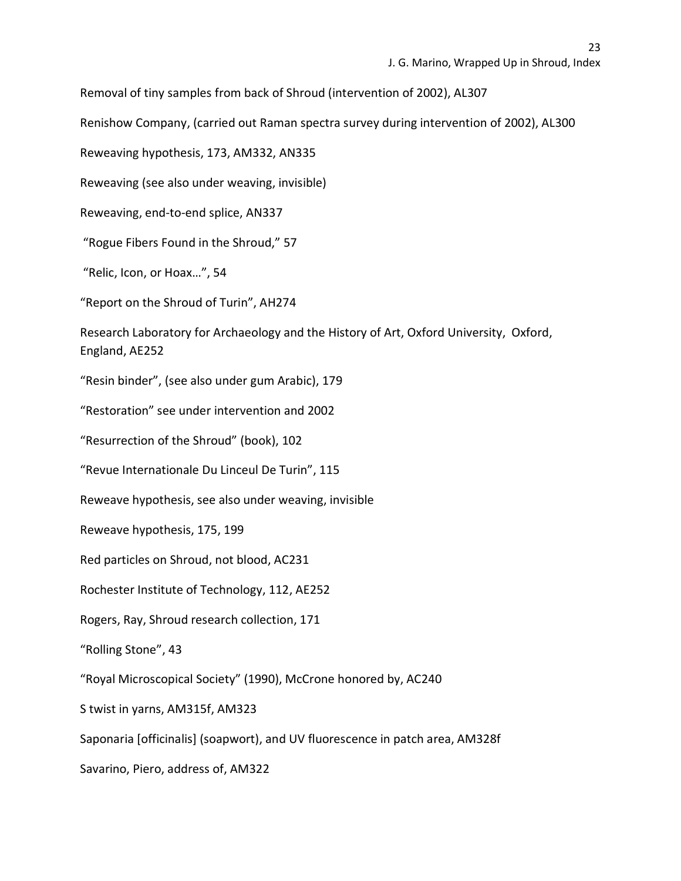Removal of tiny samples from back of Shroud (intervention of 2002), AL307

Renishow Company, (carried out Raman spectra survey during intervention of 2002), AL300

Reweaving hypothesis, 173, AM332, AN335

Reweaving (see also under weaving, invisible)

Reweaving, end-to-end splice, AN337

"Rogue Fibers Found in the Shroud," 57

"Relic, Icon, or Hoax…", 54

"Report on the Shroud of Turin", AH274

Research Laboratory for Archaeology and the History of Art, Oxford University, Oxford, England, AE252

"Resin binder", (see also under gum Arabic), 179

"Restoration" see under intervention and 2002

"Resurrection of the Shroud" (book), 102

"Revue Internationale Du Linceul De Turin", 115

Reweave hypothesis, see also under weaving, invisible

Reweave hypothesis, 175, 199

Red particles on Shroud, not blood, AC231

Rochester Institute of Technology, 112, AE252

Rogers, Ray, Shroud research collection, 171

"Rolling Stone", 43

"Royal Microscopical Society" (1990), McCrone honored by, AC240

S twist in yarns, AM315f, AM323

Saponaria [officinalis] (soapwort), and UV fluorescence in patch area, AM328f

Savarino, Piero, address of, AM322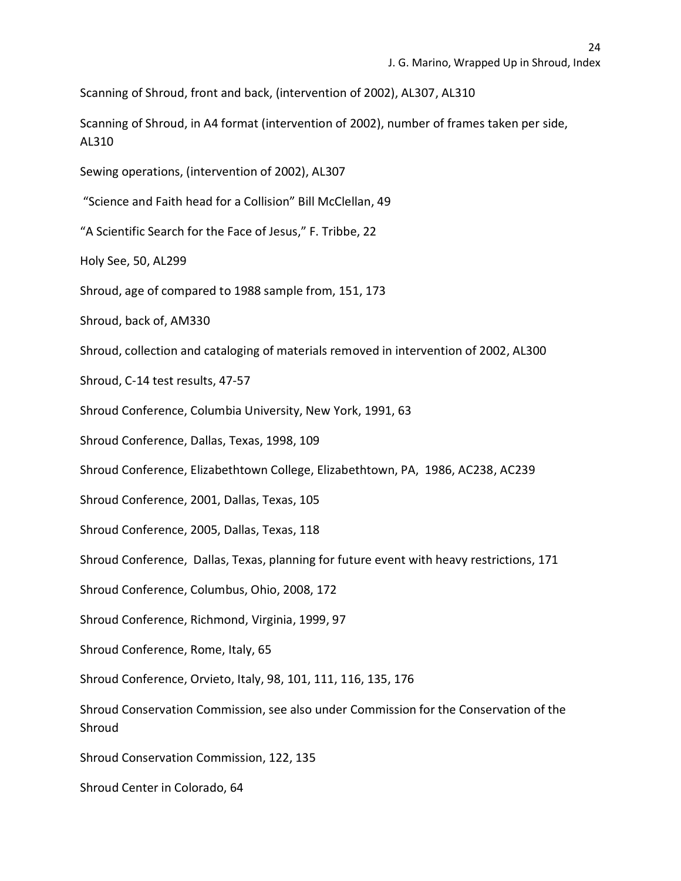Scanning of Shroud, front and back, (intervention of 2002), AL307, AL310

Scanning of Shroud, in A4 format (intervention of 2002), number of frames taken per side, AL310

Sewing operations, (intervention of 2002), AL307

"Science and Faith head for a Collision" Bill McClellan, 49

"A Scientific Search for the Face of Jesus," F. Tribbe, 22

Holy See, 50, AL299

Shroud, age of compared to 1988 sample from, 151, 173

Shroud, back of, AM330

Shroud, collection and cataloging of materials removed in intervention of 2002, AL300

Shroud, C-14 test results, 47-57

Shroud Conference, Columbia University, New York, 1991, 63

Shroud Conference, Dallas, Texas, 1998, 109

Shroud Conference, Elizabethtown College, Elizabethtown, PA, 1986, AC238, AC239

Shroud Conference, 2001, Dallas, Texas, 105

Shroud Conference, 2005, Dallas, Texas, 118

Shroud Conference, Dallas, Texas, planning for future event with heavy restrictions, 171

Shroud Conference, Columbus, Ohio, 2008, 172

Shroud Conference, Richmond, Virginia, 1999, 97

Shroud Conference, Rome, Italy, 65

Shroud Conference, Orvieto, Italy, 98, 101, 111, 116, 135, 176

Shroud Conservation Commission, see also under Commission for the Conservation of the Shroud

Shroud Conservation Commission, 122, 135

Shroud Center in Colorado, 64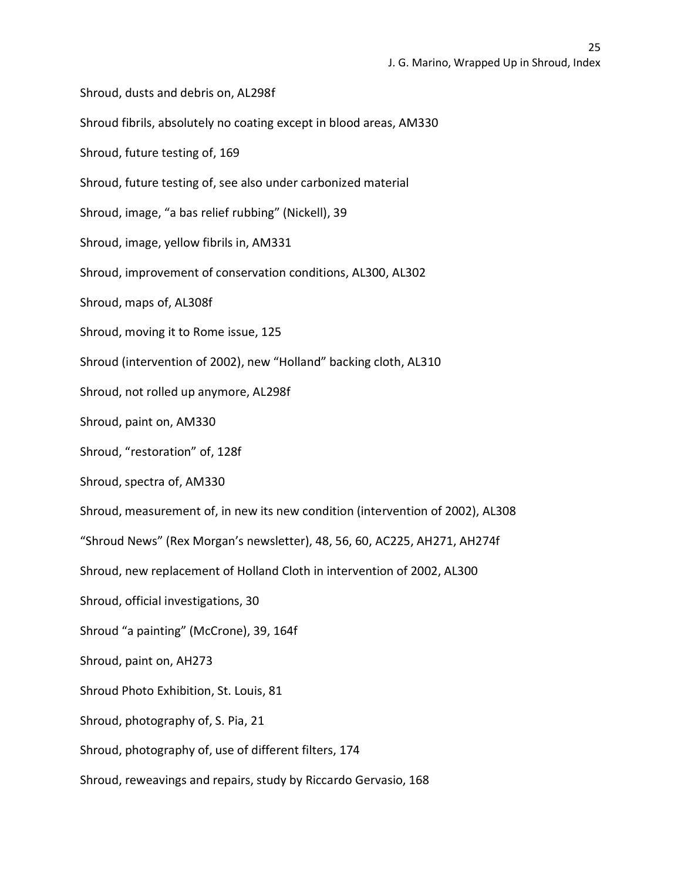Shroud, dusts and debris on, AL298f Shroud fibrils, absolutely no coating except in blood areas, AM330 Shroud, future testing of, 169 Shroud, future testing of, see also under carbonized material Shroud, image, "a bas relief rubbing" (Nickell), 39 Shroud, image, yellow fibrils in, AM331 Shroud, improvement of conservation conditions, AL300, AL302 Shroud, maps of, AL308f Shroud, moving it to Rome issue, 125 Shroud (intervention of 2002), new "Holland" backing cloth, AL310 Shroud, not rolled up anymore, AL298f Shroud, paint on, AM330 Shroud, "restoration" of, 128f Shroud, spectra of, AM330 Shroud, measurement of, in new its new condition (intervention of 2002), AL308 "Shroud News" (Rex Morgan's newsletter), 48, 56, 60, AC225, AH271, AH274f Shroud, new replacement of Holland Cloth in intervention of 2002, AL300 Shroud, official investigations, 30 Shroud "a painting" (McCrone), 39, 164f Shroud, paint on, AH273 Shroud Photo Exhibition, St. Louis, 81 Shroud, photography of, S. Pia, 21 Shroud, photography of, use of different filters, 174 Shroud, reweavings and repairs, study by Riccardo Gervasio, 168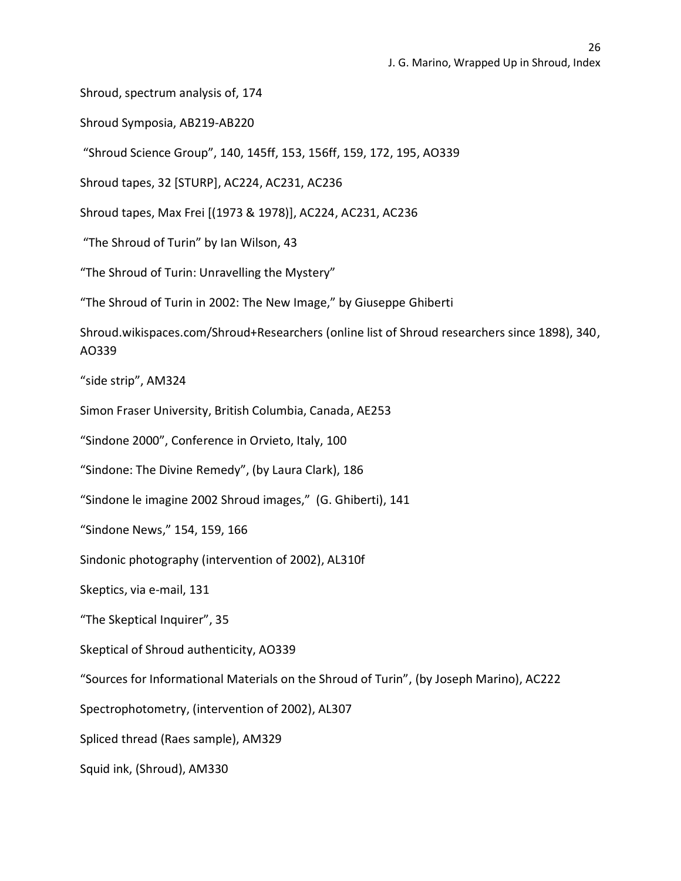Shroud, spectrum analysis of, 174

Shroud Symposia, AB219-AB220

"Shroud Science Group", 140, 145ff, 153, 156ff, 159, 172, 195, AO339

Shroud tapes, 32 [STURP], AC224, AC231, AC236

Shroud tapes, Max Frei [(1973 & 1978)], AC224, AC231, AC236

"The Shroud of Turin" by Ian Wilson, 43

"The Shroud of Turin: Unravelling the Mystery"

"The Shroud of Turin in 2002: The New Image," by Giuseppe Ghiberti

Shroud.wikispaces.com/Shroud+Researchers (online list of Shroud researchers since 1898), 340, AO339

"side strip", AM324

Simon Fraser University, British Columbia, Canada, AE253

"Sindone 2000", Conference in Orvieto, Italy, 100

"Sindone: The Divine Remedy", (by Laura Clark), 186

"Sindone le imagine 2002 Shroud images," (G. Ghiberti), 141

"Sindone News," 154, 159, 166

Sindonic photography (intervention of 2002), AL310f

Skeptics, via e-mail, 131

"The Skeptical Inquirer", 35

Skeptical of Shroud authenticity, AO339

"Sources for Informational Materials on the Shroud of Turin", (by Joseph Marino), AC222

Spectrophotometry, (intervention of 2002), AL307

Spliced thread (Raes sample), AM329

Squid ink, (Shroud), AM330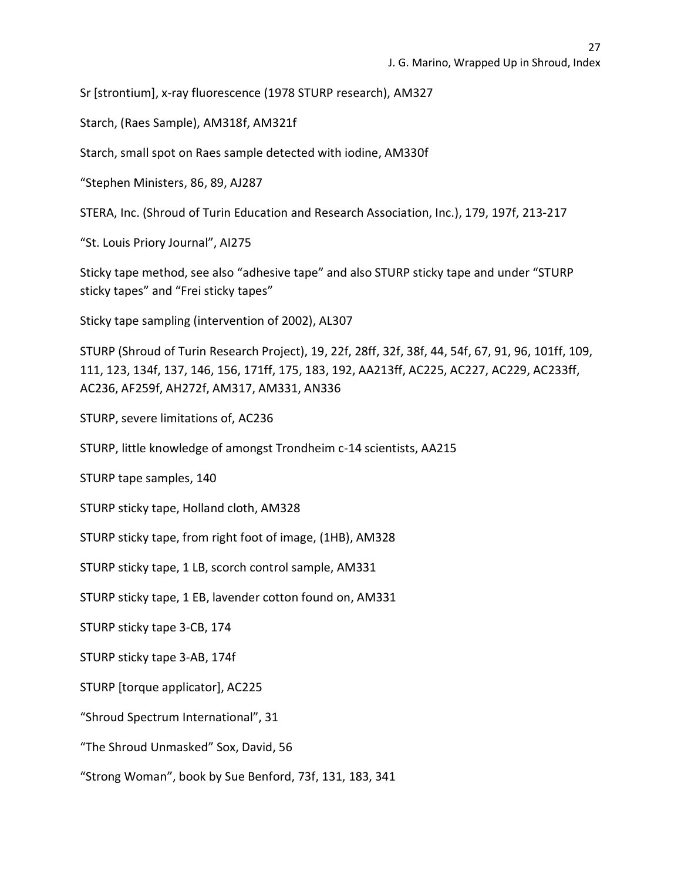Sr [strontium], x-ray fluorescence (1978 STURP research), AM327

Starch, (Raes Sample), AM318f, AM321f

Starch, small spot on Raes sample detected with iodine, AM330f

"Stephen Ministers, 86, 89, AJ287

STERA, Inc. (Shroud of Turin Education and Research Association, Inc.), 179, 197f, 213-217

"St. Louis Priory Journal", AI275

Sticky tape method, see also "adhesive tape" and also STURP sticky tape and under "STURP sticky tapes" and "Frei sticky tapes"

Sticky tape sampling (intervention of 2002), AL307

STURP (Shroud of Turin Research Project), 19, 22f, 28ff, 32f, 38f, 44, 54f, 67, 91, 96, 101ff, 109, 111, 123, 134f, 137, 146, 156, 171ff, 175, 183, 192, AA213ff, AC225, AC227, AC229, AC233ff, AC236, AF259f, AH272f, AM317, AM331, AN336

STURP, severe limitations of, AC236

STURP, little knowledge of amongst Trondheim c-14 scientists, AA215

STURP tape samples, 140

STURP sticky tape, Holland cloth, AM328

STURP sticky tape, from right foot of image, (1HB), AM328

STURP sticky tape, 1 LB, scorch control sample, AM331

STURP sticky tape, 1 EB, lavender cotton found on, AM331

STURP sticky tape 3-CB, 174

STURP sticky tape 3-AB, 174f

STURP [torque applicator], AC225

"Shroud Spectrum International", 31

"The Shroud Unmasked" Sox, David, 56

"Strong Woman", book by Sue Benford, 73f, 131, 183, 341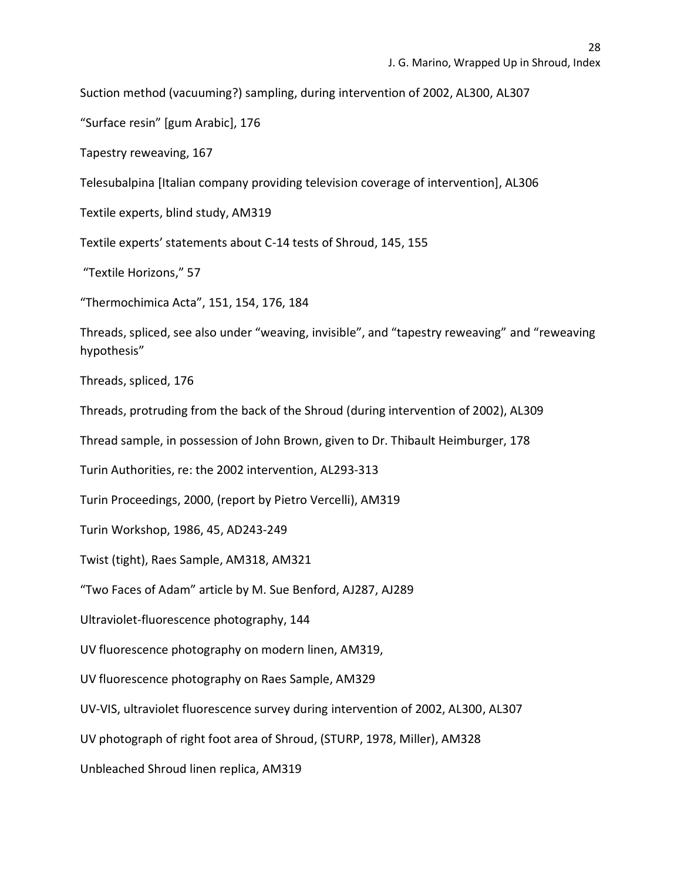Suction method (vacuuming?) sampling, during intervention of 2002, AL300, AL307

"Surface resin" [gum Arabic], 176

Tapestry reweaving, 167

Telesubalpina [Italian company providing television coverage of intervention], AL306

Textile experts, blind study, AM319

Textile experts' statements about C-14 tests of Shroud, 145, 155

"Textile Horizons," 57

"Thermochimica Acta", 151, 154, 176, 184

Threads, spliced, see also under "weaving, invisible", and "tapestry reweaving" and "reweaving hypothesis"

Threads, spliced, 176

Threads, protruding from the back of the Shroud (during intervention of 2002), AL309

Thread sample, in possession of John Brown, given to Dr. Thibault Heimburger, 178

Turin Authorities, re: the 2002 intervention, AL293-313

Turin Proceedings, 2000, (report by Pietro Vercelli), AM319

Turin Workshop, 1986, 45, AD243-249

Twist (tight), Raes Sample, AM318, AM321

"Two Faces of Adam" article by M. Sue Benford, AJ287, AJ289

Ultraviolet-fluorescence photography, 144

UV fluorescence photography on modern linen, AM319,

UV fluorescence photography on Raes Sample, AM329

UV-VIS, ultraviolet fluorescence survey during intervention of 2002, AL300, AL307

UV photograph of right foot area of Shroud, (STURP, 1978, Miller), AM328

Unbleached Shroud linen replica, AM319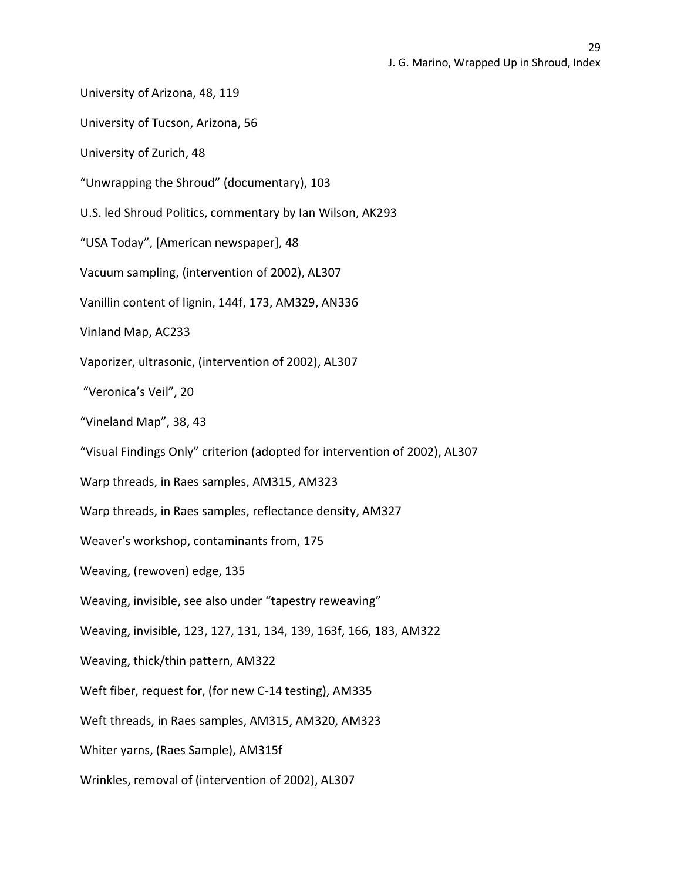University of Arizona, 48, 119

University of Tucson, Arizona, 56

University of Zurich, 48

"Unwrapping the Shroud" (documentary), 103

U.S. led Shroud Politics, commentary by Ian Wilson, AK293

"USA Today", [American newspaper], 48

Vacuum sampling, (intervention of 2002), AL307

Vanillin content of lignin, 144f, 173, AM329, AN336

Vinland Map, AC233

Vaporizer, ultrasonic, (intervention of 2002), AL307

"Veronica's Veil", 20

"Vineland Map", 38, 43

"Visual Findings Only" criterion (adopted for intervention of 2002), AL307

Warp threads, in Raes samples, AM315, AM323

Warp threads, in Raes samples, reflectance density, AM327

Weaver's workshop, contaminants from, 175

Weaving, (rewoven) edge, 135

Weaving, invisible, see also under "tapestry reweaving"

Weaving, invisible, 123, 127, 131, 134, 139, 163f, 166, 183, AM322

Weaving, thick/thin pattern, AM322

Weft fiber, request for, (for new C-14 testing), AM335

Weft threads, in Raes samples, AM315, AM320, AM323

Whiter yarns, (Raes Sample), AM315f

Wrinkles, removal of (intervention of 2002), AL307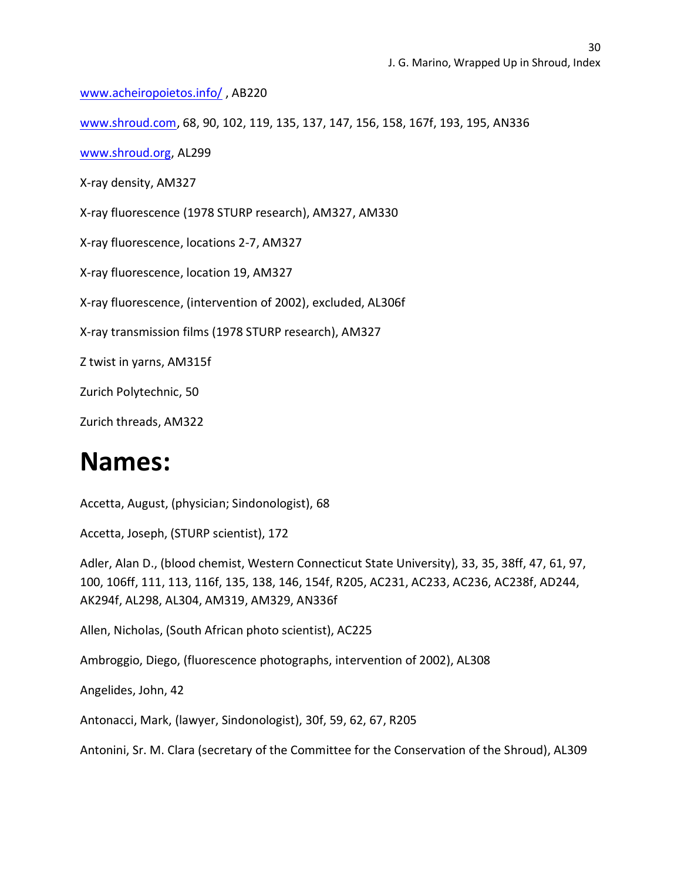[www.acheiropoietos.info/](http://www.acheiropoietos.info/) , AB220

[www.shroud.com,](http://www.shroud.com/) 68, 90, 102, 119, 135, 137, 147, 156, 158, 167f, 193, 195, AN336

[www.shroud.org,](http://www.shroud.org/) AL299

X-ray density, AM327

X-ray fluorescence (1978 STURP research), AM327, AM330

X-ray fluorescence, locations 2-7, AM327

X-ray fluorescence, location 19, AM327

X-ray fluorescence, (intervention of 2002), excluded, AL306f

X-ray transmission films (1978 STURP research), AM327

Z twist in yarns, AM315f

Zurich Polytechnic, 50

Zurich threads, AM322

### **Names:**

Accetta, August, (physician; Sindonologist), 68

Accetta, Joseph, (STURP scientist), 172

Adler, Alan D., (blood chemist, Western Connecticut State University), 33, 35, 38ff, 47, 61, 97, 100, 106ff, 111, 113, 116f, 135, 138, 146, 154f, R205, AC231, AC233, AC236, AC238f, AD244, AK294f, AL298, AL304, AM319, AM329, AN336f

Allen, Nicholas, (South African photo scientist), AC225

Ambroggio, Diego, (fluorescence photographs, intervention of 2002), AL308

Angelides, John, 42

Antonacci, Mark, (lawyer, Sindonologist), 30f, 59, 62, 67, R205

Antonini, Sr. M. Clara (secretary of the Committee for the Conservation of the Shroud), AL309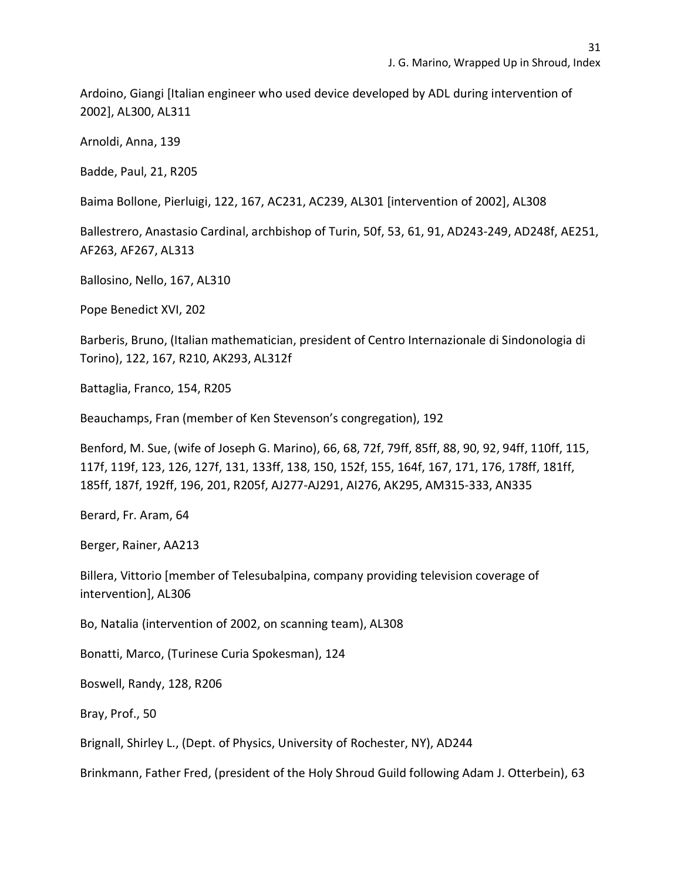Ardoino, Giangi [Italian engineer who used device developed by ADL during intervention of 2002], AL300, AL311

Arnoldi, Anna, 139

Badde, Paul, 21, R205

Baima Bollone, Pierluigi, 122, 167, AC231, AC239, AL301 [intervention of 2002], AL308

Ballestrero, Anastasio Cardinal, archbishop of Turin, 50f, 53, 61, 91, AD243-249, AD248f, AE251, AF263, AF267, AL313

Ballosino, Nello, 167, AL310

Pope Benedict XVI, 202

Barberis, Bruno, (Italian mathematician, president of Centro Internazionale di Sindonologia di Torino), 122, 167, R210, AK293, AL312f

Battaglia, Franco, 154, R205

Beauchamps, Fran (member of Ken Stevenson's congregation), 192

Benford, M. Sue, (wife of Joseph G. Marino), 66, 68, 72f, 79ff, 85ff, 88, 90, 92, 94ff, 110ff, 115, 117f, 119f, 123, 126, 127f, 131, 133ff, 138, 150, 152f, 155, 164f, 167, 171, 176, 178ff, 181ff, 185ff, 187f, 192ff, 196, 201, R205f, AJ277-AJ291, AI276, AK295, AM315-333, AN335

Berard, Fr. Aram, 64

Berger, Rainer, AA213

Billera, Vittorio [member of Telesubalpina, company providing television coverage of intervention], AL306

Bo, Natalia (intervention of 2002, on scanning team), AL308

Bonatti, Marco, (Turinese Curia Spokesman), 124

Boswell, Randy, 128, R206

Bray, Prof., 50

Brignall, Shirley L., (Dept. of Physics, University of Rochester, NY), AD244

Brinkmann, Father Fred, (president of the Holy Shroud Guild following Adam J. Otterbein), 63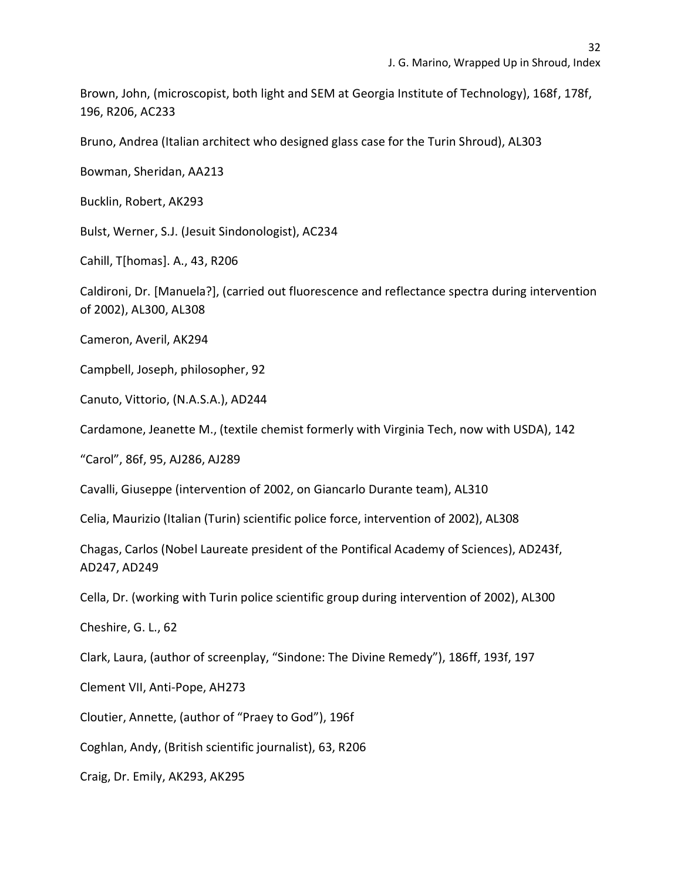Brown, John, (microscopist, both light and SEM at Georgia Institute of Technology), 168f, 178f, 196, R206, AC233

Bruno, Andrea (Italian architect who designed glass case for the Turin Shroud), AL303

Bowman, Sheridan, AA213

Bucklin, Robert, AK293

Bulst, Werner, S.J. (Jesuit Sindonologist), AC234

Cahill, T[homas]. A., 43, R206

Caldironi, Dr. [Manuela?], (carried out fluorescence and reflectance spectra during intervention of 2002), AL300, AL308

Cameron, Averil, AK294

Campbell, Joseph, philosopher, 92

Canuto, Vittorio, (N.A.S.A.), AD244

Cardamone, Jeanette M., (textile chemist formerly with Virginia Tech, now with USDA), 142

"Carol", 86f, 95, AJ286, AJ289

Cavalli, Giuseppe (intervention of 2002, on Giancarlo Durante team), AL310

Celia, Maurizio (Italian (Turin) scientific police force, intervention of 2002), AL308

Chagas, Carlos (Nobel Laureate president of the Pontifical Academy of Sciences), AD243f, AD247, AD249

Cella, Dr. (working with Turin police scientific group during intervention of 2002), AL300

Cheshire, G. L., 62

Clark, Laura, (author of screenplay, "Sindone: The Divine Remedy"), 186ff, 193f, 197

Clement VII, Anti-Pope, AH273

Cloutier, Annette, (author of "Praey to God"), 196f

Coghlan, Andy, (British scientific journalist), 63, R206

Craig, Dr. Emily, AK293, AK295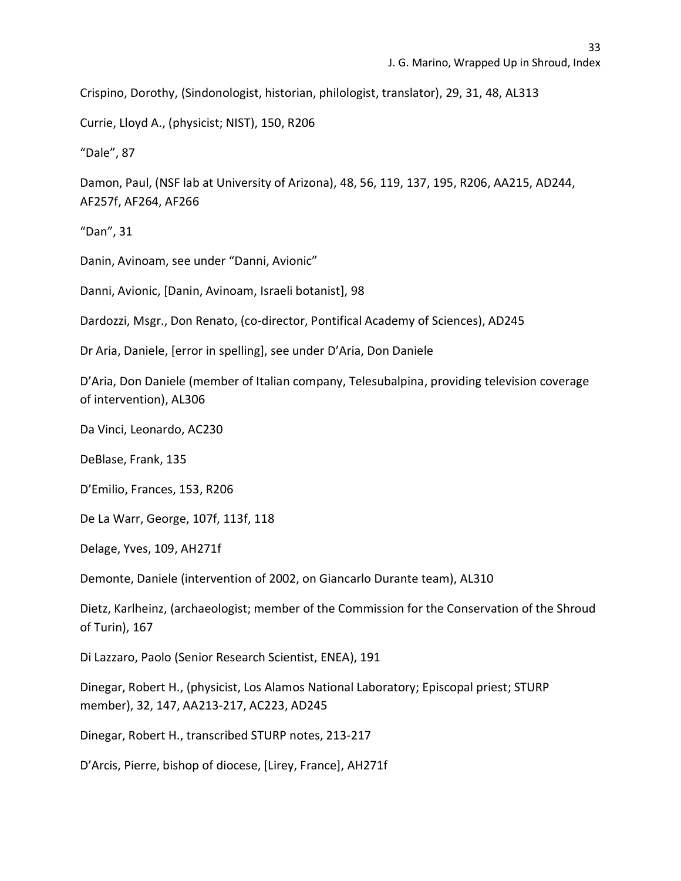Crispino, Dorothy, (Sindonologist, historian, philologist, translator), 29, 31, 48, AL313

Currie, Lloyd A., (physicist; NIST), 150, R206

"Dale", 87

Damon, Paul, (NSF lab at University of Arizona), 48, 56, 119, 137, 195, R206, AA215, AD244, AF257f, AF264, AF266

"Dan", 31

Danin, Avinoam, see under "Danni, Avionic"

Danni, Avionic, [Danin, Avinoam, Israeli botanist], 98

Dardozzi, Msgr., Don Renato, (co-director, Pontifical Academy of Sciences), AD245

Dr Aria, Daniele, [error in spelling], see under D'Aria, Don Daniele

D'Aria, Don Daniele (member of Italian company, Telesubalpina, providing television coverage of intervention), AL306

Da Vinci, Leonardo, AC230

DeBlase, Frank, 135

D'Emilio, Frances, 153, R206

De La Warr, George, 107f, 113f, 118

Delage, Yves, 109, AH271f

Demonte, Daniele (intervention of 2002, on Giancarlo Durante team), AL310

Dietz, Karlheinz, (archaeologist; member of the Commission for the Conservation of the Shroud of Turin), 167

Di Lazzaro, Paolo (Senior Research Scientist, ENEA), 191

Dinegar, Robert H., (physicist, Los Alamos National Laboratory; Episcopal priest; STURP member), 32, 147, AA213-217, AC223, AD245

Dinegar, Robert H., transcribed STURP notes, 213-217

D'Arcis, Pierre, bishop of diocese, [Lirey, France], AH271f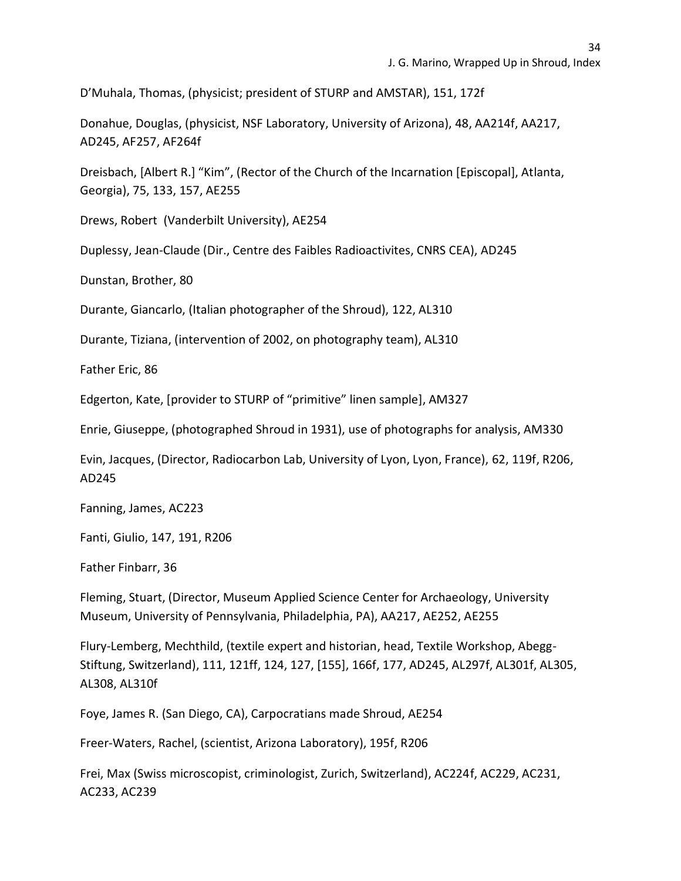D'Muhala, Thomas, (physicist; president of STURP and AMSTAR), 151, 172f

Donahue, Douglas, (physicist, NSF Laboratory, University of Arizona), 48, AA214f, AA217, AD245, AF257, AF264f

Dreisbach, [Albert R.] "Kim", (Rector of the Church of the Incarnation [Episcopal], Atlanta, Georgia), 75, 133, 157, AE255

Drews, Robert (Vanderbilt University), AE254

Duplessy, Jean-Claude (Dir., Centre des Faibles Radioactivites, CNRS CEA), AD245

Dunstan, Brother, 80

Durante, Giancarlo, (Italian photographer of the Shroud), 122, AL310

Durante, Tiziana, (intervention of 2002, on photography team), AL310

Father Eric, 86

Edgerton, Kate, [provider to STURP of "primitive" linen sample], AM327

Enrie, Giuseppe, (photographed Shroud in 1931), use of photographs for analysis, AM330

Evin, Jacques, (Director, Radiocarbon Lab, University of Lyon, Lyon, France), 62, 119f, R206, AD245

Fanning, James, AC223

Fanti, Giulio, 147, 191, R206

Father Finbarr, 36

Fleming, Stuart, (Director, Museum Applied Science Center for Archaeology, University Museum, University of Pennsylvania, Philadelphia, PA), AA217, AE252, AE255

Flury-Lemberg, Mechthild, (textile expert and historian, head, Textile Workshop, Abegg-Stiftung, Switzerland), 111, 121ff, 124, 127, [155], 166f, 177, AD245, AL297f, AL301f, AL305, AL308, AL310f

Foye, James R. (San Diego, CA), Carpocratians made Shroud, AE254

Freer-Waters, Rachel, (scientist, Arizona Laboratory), 195f, R206

Frei, Max (Swiss microscopist, criminologist, Zurich, Switzerland), AC224f, AC229, AC231, AC233, AC239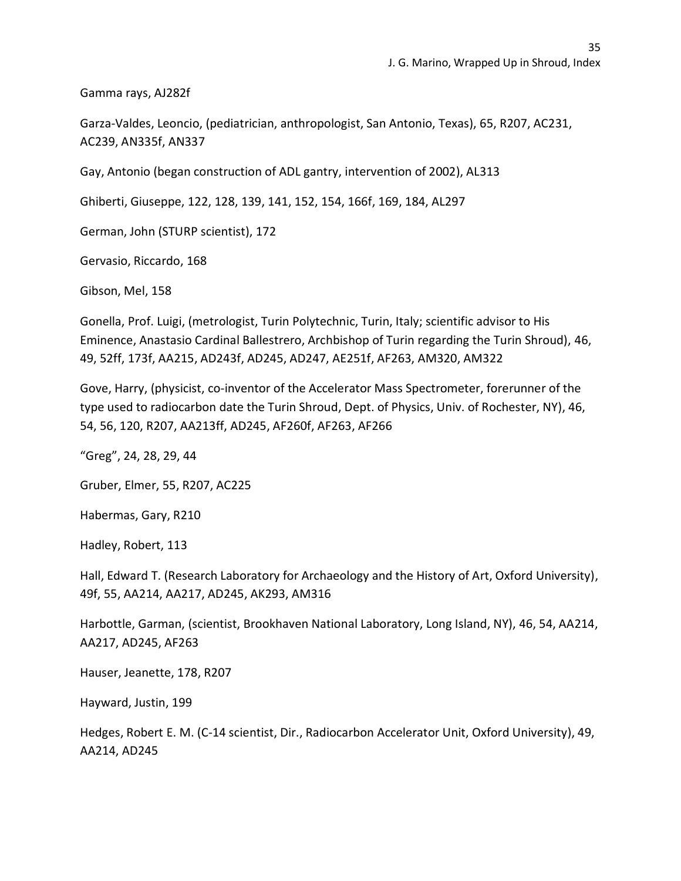Gamma rays, AJ282f

Garza-Valdes, Leoncio, (pediatrician, anthropologist, San Antonio, Texas), 65, R207, AC231, AC239, AN335f, AN337

Gay, Antonio (began construction of ADL gantry, intervention of 2002), AL313

Ghiberti, Giuseppe, 122, 128, 139, 141, 152, 154, 166f, 169, 184, AL297

German, John (STURP scientist), 172

Gervasio, Riccardo, 168

Gibson, Mel, 158

Gonella, Prof. Luigi, (metrologist, Turin Polytechnic, Turin, Italy; scientific advisor to His Eminence, Anastasio Cardinal Ballestrero, Archbishop of Turin regarding the Turin Shroud), 46, 49, 52ff, 173f, AA215, AD243f, AD245, AD247, AE251f, AF263, AM320, AM322

Gove, Harry, (physicist, co-inventor of the Accelerator Mass Spectrometer, forerunner of the type used to radiocarbon date the Turin Shroud, Dept. of Physics, Univ. of Rochester, NY), 46, 54, 56, 120, R207, AA213ff, AD245, AF260f, AF263, AF266

"Greg", 24, 28, 29, 44

Gruber, Elmer, 55, R207, AC225

Habermas, Gary, R210

Hadley, Robert, 113

Hall, Edward T. (Research Laboratory for Archaeology and the History of Art, Oxford University), 49f, 55, AA214, AA217, AD245, AK293, AM316

Harbottle, Garman, (scientist, Brookhaven National Laboratory, Long Island, NY), 46, 54, AA214, AA217, AD245, AF263

Hauser, Jeanette, 178, R207

Hayward, Justin, 199

Hedges, Robert E. M. (C-14 scientist, Dir., Radiocarbon Accelerator Unit, Oxford University), 49, AA214, AD245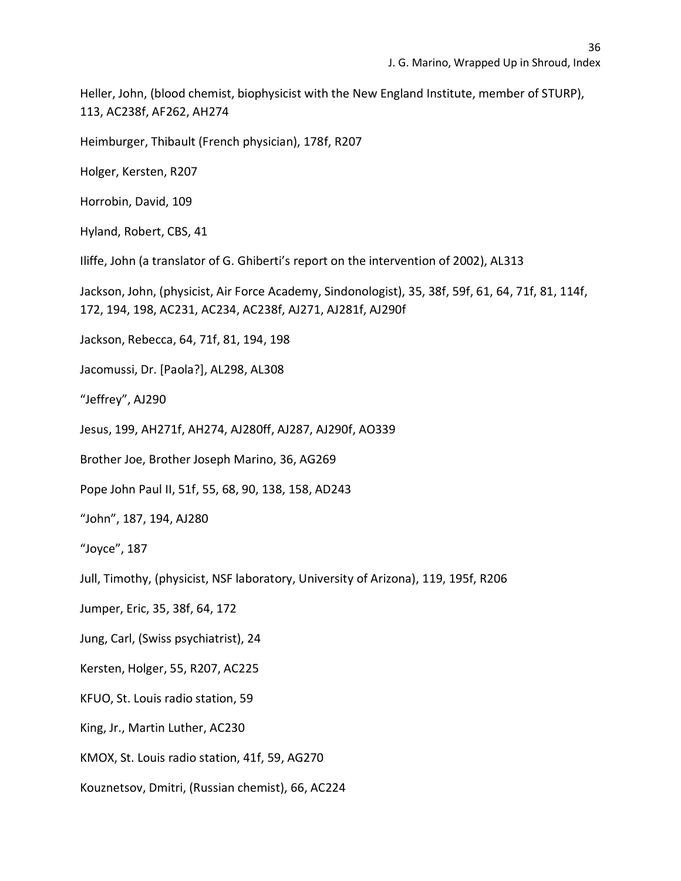Heller, John, (blood chemist, biophysicist with the New England Institute, member of STURP), 113, AC238f, AF262, AH274

Heimburger, Thibault (French physician), 178f, R207

Holger, Kersten, R207

Horrobin, David, 109

Hyland, Robert, CBS, 41

Iliffe, John (a translator of G. Ghiberti's report on the intervention of 2002), AL313

Jackson, John, (physicist, Air Force Academy, Sindonologist), 35, 38f, 59f, 61, 64, 71f, 81, 114f, 172, 194, 198, AC231, AC234, AC238f, AJ271, AJ281f, AJ290f

Jackson, Rebecca, 64, 71f, 81, 194, 198

Jacomussi, Dr. [Paola?], AL298, AL308

"Jeffrey", AJ290

Jesus, 199, AH271f, AH274, AJ280ff, AJ287, AJ290f, AO339

Brother Joe, Brother Joseph Marino, 36, AG269

Pope John Paul II, 51f, 55, 68, 90, 138, 158, AD243

"John", 187, 194, AJ280

"Joyce", 187

Jull, Timothy, (physicist, NSF laboratory, University of Arizona), 119, 195f, R206

Jumper, Eric, 35, 38f, 64, 172

Jung, Carl, (Swiss psychiatrist), 24

Kersten, Holger, 55, R207, AC225

KFUO, St. Louis radio station, 59

King, Jr., Martin Luther, AC230

KMOX, St. Louis radio station, 41f, 59, AG270

Kouznetsov, Dmitri, (Russian chemist), 66, AC224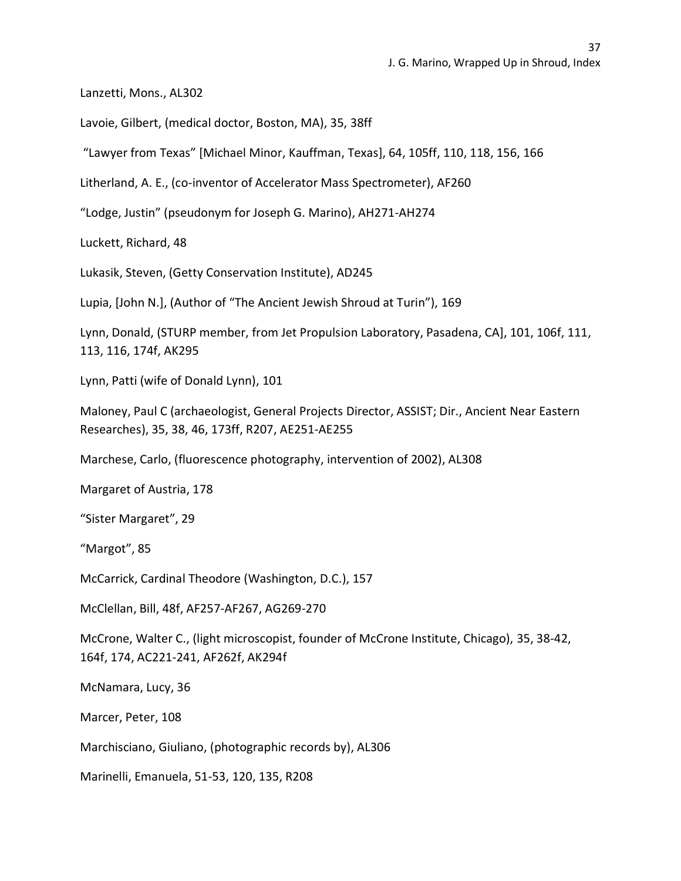Lanzetti, Mons., AL302

Lavoie, Gilbert, (medical doctor, Boston, MA), 35, 38ff

"Lawyer from Texas" [Michael Minor, Kauffman, Texas], 64, 105ff, 110, 118, 156, 166

Litherland, A. E., (co-inventor of Accelerator Mass Spectrometer), AF260

"Lodge, Justin" (pseudonym for Joseph G. Marino), AH271-AH274

Luckett, Richard, 48

Lukasik, Steven, (Getty Conservation Institute), AD245

Lupia, [John N.], (Author of "The Ancient Jewish Shroud at Turin"), 169

Lynn, Donald, (STURP member, from Jet Propulsion Laboratory, Pasadena, CA], 101, 106f, 111, 113, 116, 174f, AK295

Lynn, Patti (wife of Donald Lynn), 101

Maloney, Paul C (archaeologist, General Projects Director, ASSIST; Dir., Ancient Near Eastern Researches), 35, 38, 46, 173ff, R207, AE251-AE255

Marchese, Carlo, (fluorescence photography, intervention of 2002), AL308

Margaret of Austria, 178

"Sister Margaret", 29

"Margot", 85

McCarrick, Cardinal Theodore (Washington, D.C.), 157

McClellan, Bill, 48f, AF257-AF267, AG269-270

McCrone, Walter C., (light microscopist, founder of McCrone Institute, Chicago), 35, 38-42, 164f, 174, AC221-241, AF262f, AK294f

McNamara, Lucy, 36

Marcer, Peter, 108

Marchisciano, Giuliano, (photographic records by), AL306

Marinelli, Emanuela, 51-53, 120, 135, R208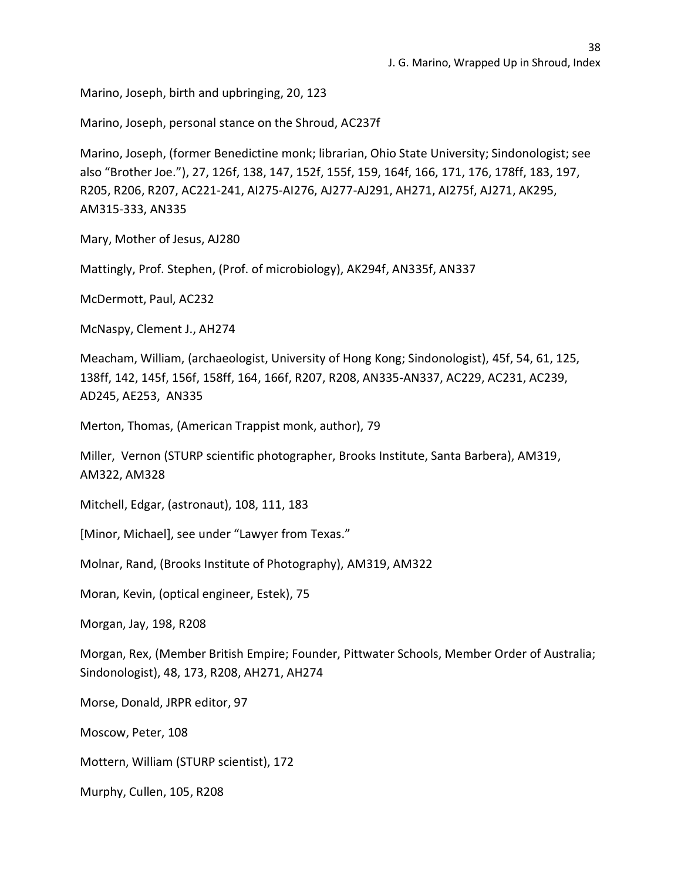Marino, Joseph, birth and upbringing, 20, 123

Marino, Joseph, personal stance on the Shroud, AC237f

Marino, Joseph, (former Benedictine monk; librarian, Ohio State University; Sindonologist; see also "Brother Joe."), 27, 126f, 138, 147, 152f, 155f, 159, 164f, 166, 171, 176, 178ff, 183, 197, R205, R206, R207, AC221-241, AI275-AI276, AJ277-AJ291, AH271, AI275f, AJ271, AK295, AM315-333, AN335

Mary, Mother of Jesus, AJ280

Mattingly, Prof. Stephen, (Prof. of microbiology), AK294f, AN335f, AN337

McDermott, Paul, AC232

McNaspy, Clement J., AH274

Meacham, William, (archaeologist, University of Hong Kong; Sindonologist), 45f, 54, 61, 125, 138ff, 142, 145f, 156f, 158ff, 164, 166f, R207, R208, AN335-AN337, AC229, AC231, AC239, AD245, AE253, AN335

Merton, Thomas, (American Trappist monk, author), 79

Miller, Vernon (STURP scientific photographer, Brooks Institute, Santa Barbera), AM319, AM322, AM328

Mitchell, Edgar, (astronaut), 108, 111, 183

[Minor, Michael], see under "Lawyer from Texas."

Molnar, Rand, (Brooks Institute of Photography), AM319, AM322

Moran, Kevin, (optical engineer, Estek), 75

Morgan, Jay, 198, R208

Morgan, Rex, (Member British Empire; Founder, Pittwater Schools, Member Order of Australia; Sindonologist), 48, 173, R208, AH271, AH274

Morse, Donald, JRPR editor, 97

Moscow, Peter, 108

Mottern, William (STURP scientist), 172

Murphy, Cullen, 105, R208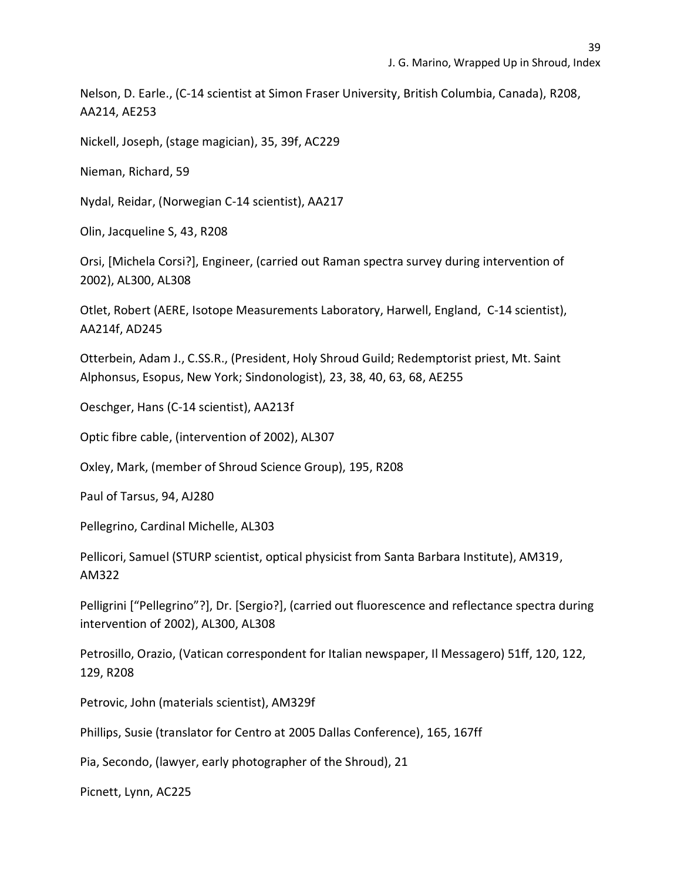Nelson, D. Earle., (C-14 scientist at Simon Fraser University, British Columbia, Canada), R208, AA214, AE253

Nickell, Joseph, (stage magician), 35, 39f, AC229

Nieman, Richard, 59

Nydal, Reidar, (Norwegian C-14 scientist), AA217

Olin, Jacqueline S, 43, R208

Orsi, [Michela Corsi?], Engineer, (carried out Raman spectra survey during intervention of 2002), AL300, AL308

Otlet, Robert (AERE, Isotope Measurements Laboratory, Harwell, England, C-14 scientist), AA214f, AD245

Otterbein, Adam J., C.SS.R., (President, Holy Shroud Guild; Redemptorist priest, Mt. Saint Alphonsus, Esopus, New York; Sindonologist), 23, 38, 40, 63, 68, AE255

Oeschger, Hans (C-14 scientist), AA213f

Optic fibre cable, (intervention of 2002), AL307

Oxley, Mark, (member of Shroud Science Group), 195, R208

Paul of Tarsus, 94, AJ280

Pellegrino, Cardinal Michelle, AL303

Pellicori, Samuel (STURP scientist, optical physicist from Santa Barbara Institute), AM319, AM322

Pelligrini ["Pellegrino"?], Dr. [Sergio?], (carried out fluorescence and reflectance spectra during intervention of 2002), AL300, AL308

Petrosillo, Orazio, (Vatican correspondent for Italian newspaper, Il Messagero) 51ff, 120, 122, 129, R208

Petrovic, John (materials scientist), AM329f

Phillips, Susie (translator for Centro at 2005 Dallas Conference), 165, 167ff

Pia, Secondo, (lawyer, early photographer of the Shroud), 21

Picnett, Lynn, AC225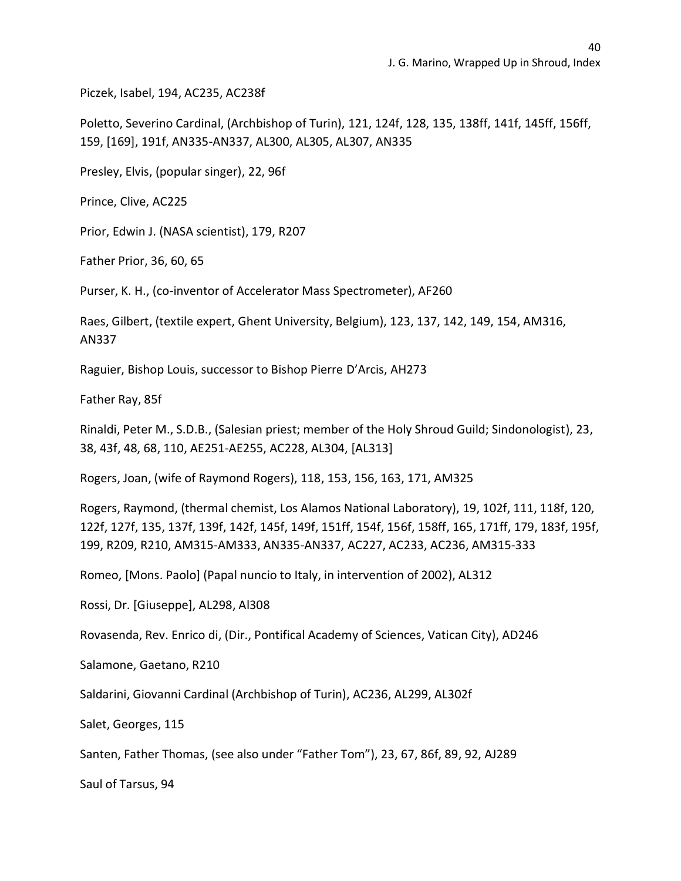Piczek, Isabel, 194, AC235, AC238f

Poletto, Severino Cardinal, (Archbishop of Turin), 121, 124f, 128, 135, 138ff, 141f, 145ff, 156ff, 159, [169], 191f, AN335-AN337, AL300, AL305, AL307, AN335

Presley, Elvis, (popular singer), 22, 96f

Prince, Clive, AC225

Prior, Edwin J. (NASA scientist), 179, R207

Father Prior, 36, 60, 65

Purser, K. H., (co-inventor of Accelerator Mass Spectrometer), AF260

Raes, Gilbert, (textile expert, Ghent University, Belgium), 123, 137, 142, 149, 154, AM316, AN337

Raguier, Bishop Louis, successor to Bishop Pierre D'Arcis, AH273

Father Ray, 85f

Rinaldi, Peter M., S.D.B., (Salesian priest; member of the Holy Shroud Guild; Sindonologist), 23, 38, 43f, 48, 68, 110, AE251-AE255, AC228, AL304, [AL313]

Rogers, Joan, (wife of Raymond Rogers), 118, 153, 156, 163, 171, AM325

Rogers, Raymond, (thermal chemist, Los Alamos National Laboratory), 19, 102f, 111, 118f, 120, 122f, 127f, 135, 137f, 139f, 142f, 145f, 149f, 151ff, 154f, 156f, 158ff, 165, 171ff, 179, 183f, 195f, 199, R209, R210, AM315-AM333, AN335-AN337, AC227, AC233, AC236, AM315-333

Romeo, [Mons. Paolo] (Papal nuncio to Italy, in intervention of 2002), AL312

Rossi, Dr. [Giuseppe], AL298, Al308

Rovasenda, Rev. Enrico di, (Dir., Pontifical Academy of Sciences, Vatican City), AD246

Salamone, Gaetano, R210

Saldarini, Giovanni Cardinal (Archbishop of Turin), AC236, AL299, AL302f

Salet, Georges, 115

Santen, Father Thomas, (see also under "Father Tom"), 23, 67, 86f, 89, 92, AJ289

Saul of Tarsus, 94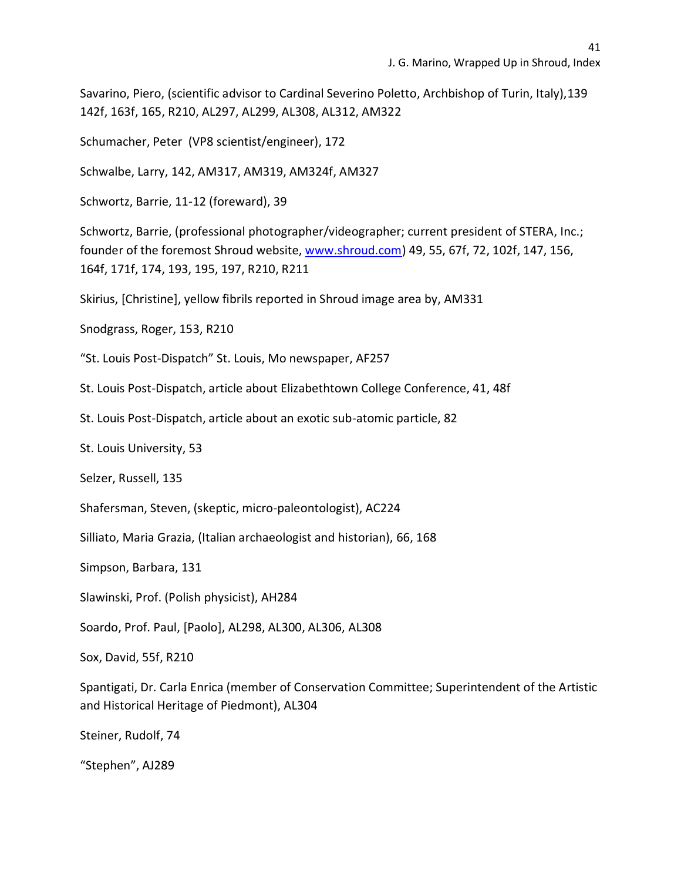Savarino, Piero, (scientific advisor to Cardinal Severino Poletto, Archbishop of Turin, Italy),139 142f, 163f, 165, R210, AL297, AL299, AL308, AL312, AM322

Schumacher, Peter (VP8 scientist/engineer), 172

Schwalbe, Larry, 142, AM317, AM319, AM324f, AM327

Schwortz, Barrie, 11-12 (foreward), 39

Schwortz, Barrie, (professional photographer/videographer; current president of STERA, Inc.; founder of the foremost Shroud website, [www.shroud.com\)](http://www.shroud.com/) 49, 55, 67f, 72, 102f, 147, 156, 164f, 171f, 174, 193, 195, 197, R210, R211

Skirius, [Christine], yellow fibrils reported in Shroud image area by, AM331

Snodgrass, Roger, 153, R210

"St. Louis Post-Dispatch" St. Louis, Mo newspaper, AF257

St. Louis Post-Dispatch, article about Elizabethtown College Conference, 41, 48f

St. Louis Post-Dispatch, article about an exotic sub-atomic particle, 82

St. Louis University, 53

Selzer, Russell, 135

Shafersman, Steven, (skeptic, micro-paleontologist), AC224

Silliato, Maria Grazia, (Italian archaeologist and historian), 66, 168

Simpson, Barbara, 131

Slawinski, Prof. (Polish physicist), AH284

Soardo, Prof. Paul, [Paolo], AL298, AL300, AL306, AL308

Sox, David, 55f, R210

Spantigati, Dr. Carla Enrica (member of Conservation Committee; Superintendent of the Artistic and Historical Heritage of Piedmont), AL304

Steiner, Rudolf, 74

"Stephen", AJ289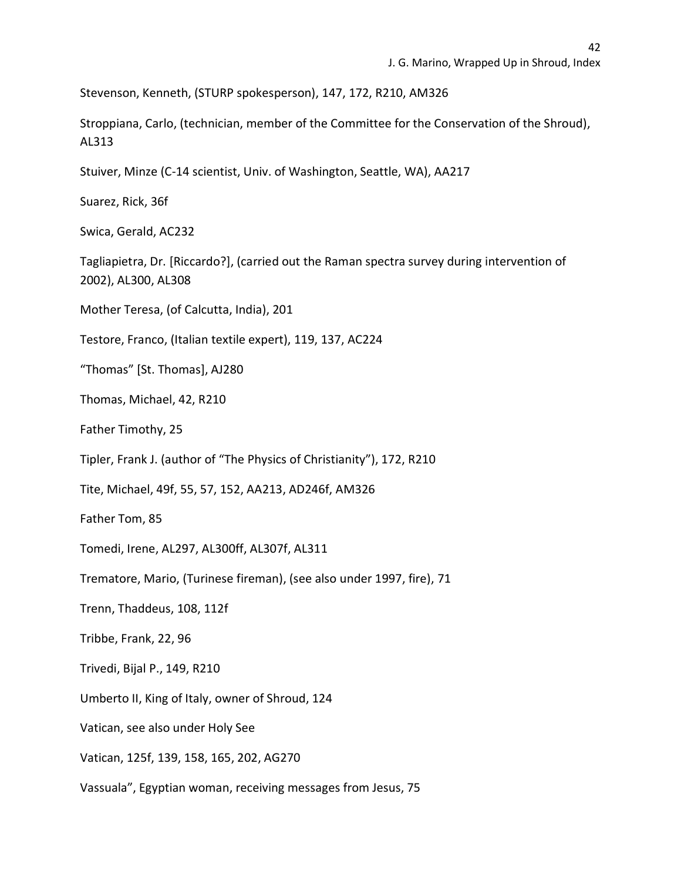Stevenson, Kenneth, (STURP spokesperson), 147, 172, R210, AM326

Stroppiana, Carlo, (technician, member of the Committee for the Conservation of the Shroud), AL313

Stuiver, Minze (C-14 scientist, Univ. of Washington, Seattle, WA), AA217

Suarez, Rick, 36f

Swica, Gerald, AC232

Tagliapietra, Dr. [Riccardo?], (carried out the Raman spectra survey during intervention of 2002), AL300, AL308

Mother Teresa, (of Calcutta, India), 201

Testore, Franco, (Italian textile expert), 119, 137, AC224

"Thomas" [St. Thomas], AJ280

Thomas, Michael, 42, R210

Father Timothy, 25

Tipler, Frank J. (author of "The Physics of Christianity"), 172, R210

Tite, Michael, 49f, 55, 57, 152, AA213, AD246f, AM326

Father Tom, 85

Tomedi, Irene, AL297, AL300ff, AL307f, AL311

Trematore, Mario, (Turinese fireman), (see also under 1997, fire), 71

Trenn, Thaddeus, 108, 112f

Tribbe, Frank, 22, 96

Trivedi, Bijal P., 149, R210

Umberto II, King of Italy, owner of Shroud, 124

Vatican, see also under Holy See

Vatican, 125f, 139, 158, 165, 202, AG270

Vassuala", Egyptian woman, receiving messages from Jesus, 75